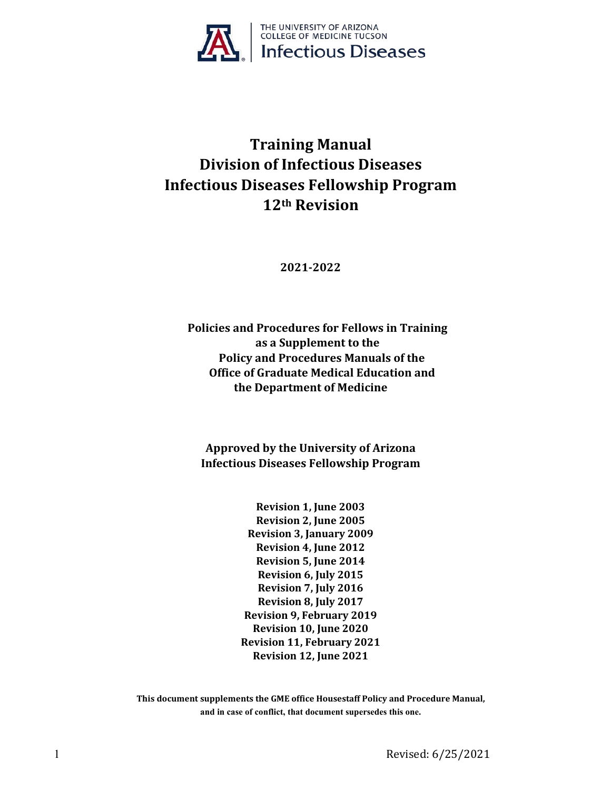

# **Training Manual Division of Infectious Diseases Infectious Diseases Fellowship Program 12th Revision**

**2021-2022**

**Policies and Procedures for Fellows in Training as a Supplement to the Policy and Procedures Manuals of the Office of Graduate Medical Education and the Department of Medicine**

**Approved by the University of Arizona Infectious Diseases Fellowship Program**

> **Revision 1, June 2003 Revision 2, June 2005 Revision 3, January 2009 Revision 4, June 2012 Revision 5, June 2014 Revision 6, July 2015 Revision 7, July 2016 Revision 8, July 2017 Revision 9, February 2019 Revision 10, June 2020 Revision 11, February 2021 Revision 12, June 2021**

**This document supplements the GME office Housestaff Policy and Procedure Manual, and in case of conflict, that document supersedes this one.**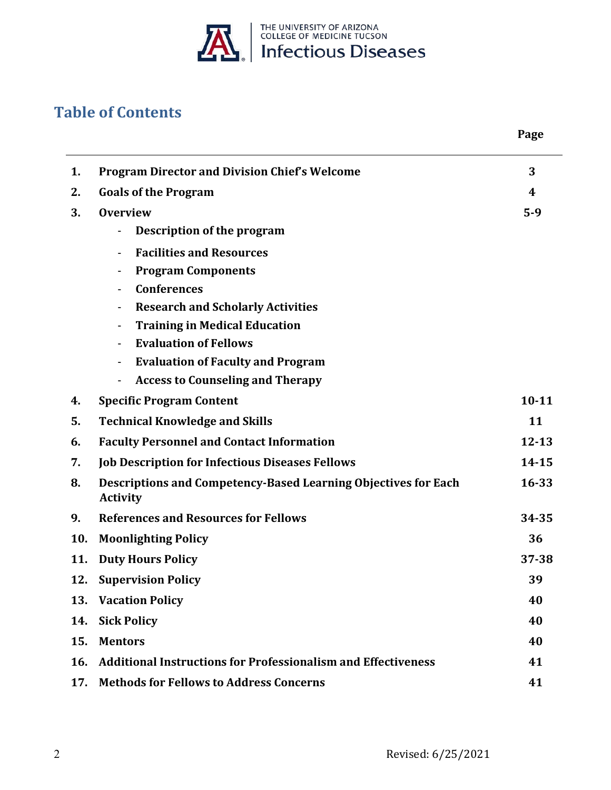

# **Table of Contents**

|     |                                                                                   | Page      |
|-----|-----------------------------------------------------------------------------------|-----------|
| 1.  | <b>Program Director and Division Chief's Welcome</b>                              | 3         |
| 2.  | <b>Goals of the Program</b>                                                       | 4         |
| 3.  | <b>Overview</b>                                                                   | $5-9$     |
|     | Description of the program                                                        |           |
|     | <b>Facilities and Resources</b>                                                   |           |
|     | <b>Program Components</b><br>$\blacksquare$                                       |           |
|     | <b>Conferences</b><br>$\overline{\phantom{a}}$                                    |           |
|     | <b>Research and Scholarly Activities</b><br>$\blacksquare$                        |           |
|     | <b>Training in Medical Education</b><br>$\blacksquare$                            |           |
|     | <b>Evaluation of Fellows</b><br>$\overline{\phantom{a}}$                          |           |
|     | <b>Evaluation of Faculty and Program</b><br>$\blacksquare$                        |           |
|     | <b>Access to Counseling and Therapy</b><br>$\blacksquare$                         |           |
| 4.  | <b>Specific Program Content</b>                                                   | $10 - 11$ |
| 5.  | <b>Technical Knowledge and Skills</b>                                             | 11        |
| 6.  | <b>Faculty Personnel and Contact Information</b>                                  | $12 - 13$ |
| 7.  | <b>Job Description for Infectious Diseases Fellows</b>                            | $14 - 15$ |
| 8.  | Descriptions and Competency-Based Learning Objectives for Each<br><b>Activity</b> | 16-33     |
| 9.  | <b>References and Resources for Fellows</b>                                       | 34-35     |
| 10. | <b>Moonlighting Policy</b>                                                        | 36        |
| 11. | <b>Duty Hours Policy</b>                                                          | $37 - 38$ |
| 12. | <b>Supervision Policy</b>                                                         | 39        |
| 13. | <b>Vacation Policy</b>                                                            | 40        |
| 14. | <b>Sick Policy</b>                                                                | 40        |
| 15. | <b>Mentors</b>                                                                    | 40        |
| 16. | <b>Additional Instructions for Professionalism and Effectiveness</b>              | 41        |
| 17. | <b>Methods for Fellows to Address Concerns</b>                                    | 41        |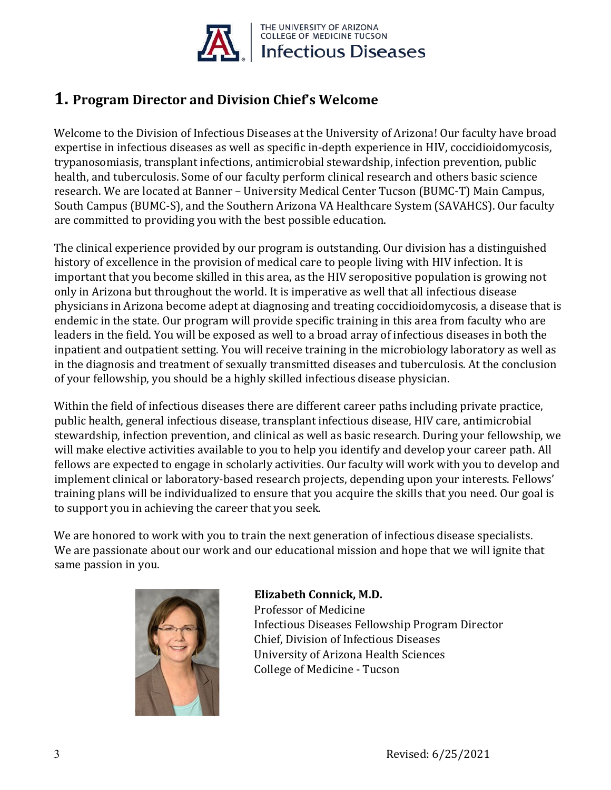

# **1. Program Director and Division Chief's Welcome**

Welcome to the Division of Infectious Diseases at the University of Arizona! Our faculty have broad expertise in infectious diseases as well as specific in-depth experience in HIV, coccidioidomycosis, trypanosomiasis, transplant infections, antimicrobial stewardship, infection prevention, public health, and tuberculosis. Some of our faculty perform clinical research and others basic science research. We are located at Banner – University Medical Center Tucson (BUMC-T) Main Campus, South Campus (BUMC-S), and the Southern Arizona VA Healthcare System (SAVAHCS). Our faculty are committed to providing you with the best possible education.

The clinical experience provided by our program is outstanding. Our division has a distinguished history of excellence in the provision of medical care to people living with HIV infection. It is important that you become skilled in this area, as the HIV seropositive population is growing not only in Arizona but throughout the world. It is imperative as well that all infectious disease physicians in Arizona become adept at diagnosing and treating coccidioidomycosis, a disease that is endemic in the state. Our program will provide specific training in this area from faculty who are leaders in the field. You will be exposed as well to a broad array of infectious diseases in both the inpatient and outpatient setting. You will receive training in the microbiology laboratory as well as in the diagnosis and treatment of sexually transmitted diseases and tuberculosis. At the conclusion of your fellowship, you should be a highly skilled infectious disease physician.

Within the field of infectious diseases there are different career paths including private practice, public health, general infectious disease, transplant infectious disease, HIV care, antimicrobial stewardship, infection prevention, and clinical as well as basic research. During your fellowship, we will make elective activities available to you to help you identify and develop your career path. All fellows are expected to engage in scholarly activities. Our faculty will work with you to develop and implement clinical or laboratory-based research projects, depending upon your interests. Fellows' training plans will be individualized to ensure that you acquire the skills that you need. Our goal is to support you in achieving the career that you seek.

We are honored to work with you to train the next generation of infectious disease specialists. We are passionate about our work and our educational mission and hope that we will ignite that same passion in you.



### **Elizabeth Connick, M.D.**  Professor of Medicine Infectious Diseases Fellowship Program Director Chief, Division of Infectious Diseases University of Arizona Health Sciences College of Medicine - Tucson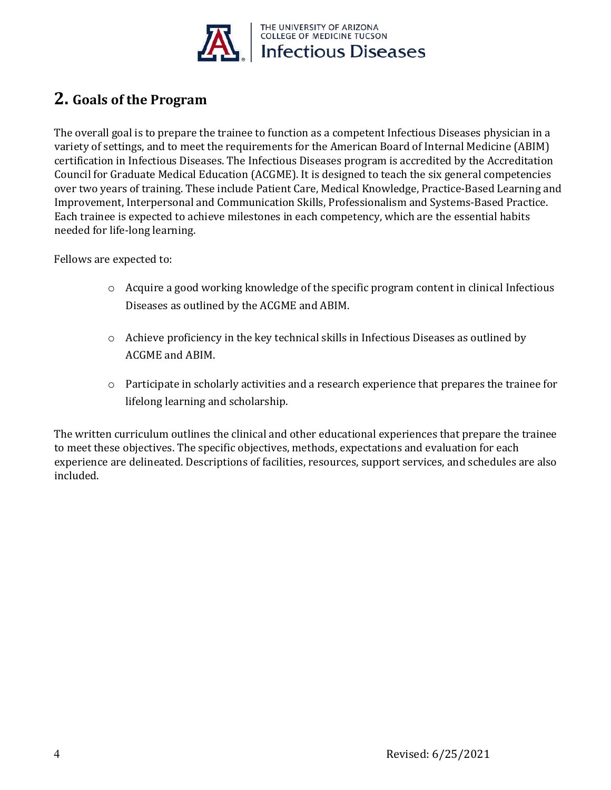

# **2. Goals of the Program**

The overall goal is to prepare the trainee to function as a competent Infectious Diseases physician in a variety of settings, and to meet the requirements for the American Board of Internal Medicine (ABIM) certification in Infectious Diseases. The Infectious Diseases program is accredited by the Accreditation Council for Graduate Medical Education (ACGME). It is designed to teach the six general competencies over two years of training. These include Patient Care, Medical Knowledge, Practice-Based Learning and Improvement, Interpersonal and Communication Skills, Professionalism and Systems-Based Practice. Each trainee is expected to achieve milestones in each competency, which are the essential habits needed for life-long learning.

Fellows are expected to:

- o Acquire a good working knowledge of the specific program content in clinical Infectious Diseases as outlined by the ACGME and ABIM.
- $\circ$  Achieve proficiency in the key technical skills in Infectious Diseases as outlined by ACGME and ABIM.
- o Participate in scholarly activities and a research experience that prepares the trainee for lifelong learning and scholarship.

The written curriculum outlines the clinical and other educational experiences that prepare the trainee to meet these objectives. The specific objectives, methods, expectations and evaluation for each experience are delineated. Descriptions of facilities, resources, support services, and schedules are also included.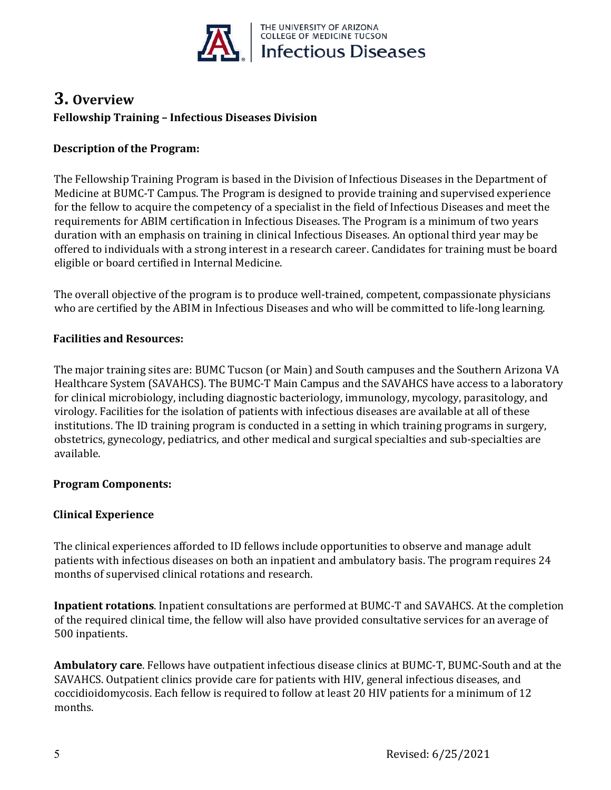

# **3. Overview Fellowship Training – Infectious Diseases Division**

### **Description of the Program:**

The Fellowship Training Program is based in the Division of Infectious Diseases in the Department of Medicine at BUMC-T Campus. The Program is designed to provide training and supervised experience for the fellow to acquire the competency of a specialist in the field of Infectious Diseases and meet the requirements for ABIM certification in Infectious Diseases. The Program is a minimum of two years duration with an emphasis on training in clinical Infectious Diseases. An optional third year may be offered to individuals with a strong interest in a research career. Candidates for training must be board eligible or board certified in Internal Medicine.

The overall objective of the program is to produce well-trained, competent, compassionate physicians who are certified by the ABIM in Infectious Diseases and who will be committed to life-long learning.

### **Facilities and Resources:**

The major training sites are: BUMC Tucson (or Main) and South campuses and the Southern Arizona VA Healthcare System (SAVAHCS). The BUMC-T Main Campus and the SAVAHCS have access to a laboratory for clinical microbiology, including diagnostic bacteriology, immunology, mycology, parasitology, and virology. Facilities for the isolation of patients with infectious diseases are available at all of these institutions. The ID training program is conducted in a setting in which training programs in surgery, obstetrics, gynecology, pediatrics, and other medical and surgical specialties and sub-specialties are available.

### **Program Components:**

### **Clinical Experience**

The clinical experiences afforded to ID fellows include opportunities to observe and manage adult patients with infectious diseases on both an inpatient and ambulatory basis. The program requires 24 months of supervised clinical rotations and research.

**Inpatient rotations**. Inpatient consultations are performed at BUMC-T and SAVAHCS. At the completion of the required clinical time, the fellow will also have provided consultative services for an average of 500 inpatients.

**Ambulatory care**. Fellows have outpatient infectious disease clinics at BUMC-T, BUMC-South and at the SAVAHCS. Outpatient clinics provide care for patients with HIV, general infectious diseases, and coccidioidomycosis. Each fellow is required to follow at least 20 HIV patients for a minimum of 12 months.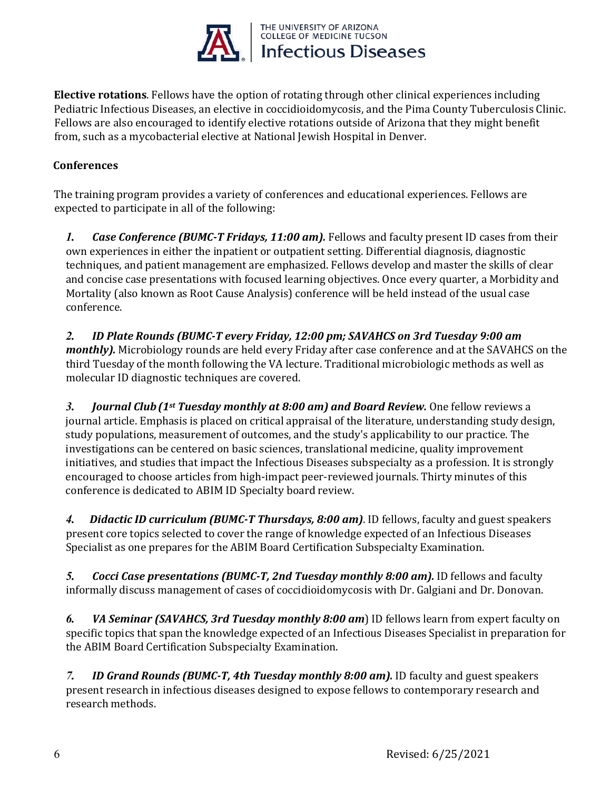

**Elective rotations**. Fellows have the option of rotating through other clinical experiences including Pediatric Infectious Diseases, an elective in coccidioidomycosis, and the Pima County Tuberculosis Clinic. Fellows are also encouraged to identify elective rotations outside of Arizona that they might benefit from, such as a mycobacterial elective at National Jewish Hospital in Denver.

### **Conferences**

The training program provides a variety of conferences and educational experiences. Fellows are expected to participate in all of the following:

*1. Case Conference (BUMC-T Fridays, 11:00 am).* Fellows and faculty present ID cases from their own experiences in either the inpatient or outpatient setting. Differential diagnosis, diagnostic techniques, and patient management are emphasized. Fellows develop and master the skills of clear and concise case presentations with focused learning objectives. Once every quarter, a Morbidity and Mortality (also known as Root Cause Analysis) conference will be held instead of the usual case conference.

*2. ID Plate Rounds (BUMC-T every Friday, 12:00 pm; SAVAHCS on 3rd Tuesday 9:00 am monthly).* Microbiology rounds are held every Friday after case conference and at the SAVAHCS on the third Tuesday of the month following the VA lecture. Traditional microbiologic methods as well as molecular ID diagnostic techniques are covered.

*3. Journal Club(1st Tuesday monthly at 8:00 am) and Board Review.* One fellow reviews a journal article. Emphasis is placed on critical appraisal of the literature, understanding study design, study populations, measurement of outcomes, and the study's applicability to our practice. The investigations can be centered on basic sciences, translational medicine, quality improvement initiatives, and studies that impact the Infectious Diseases subspecialty as a profession. It is strongly encouraged to choose articles from high-impact peer-reviewed journals. Thirty minutes of this conference is dedicated to ABIM ID Specialty board review.

*4. Didactic ID curriculum (BUMC-T Thursdays, 8:00 am)*. ID fellows, faculty and guest speakers present core topics selected to cover the range of knowledge expected of an Infectious Diseases Specialist as one prepares for the ABIM Board Certification Subspecialty Examination.

*5. Cocci Case presentations (BUMC-T, 2nd Tuesday monthly 8:00 am).* ID fellows and faculty informally discuss management of cases of coccidioidomycosis with Dr. Galgiani and Dr. Donovan.

*6. VA Seminar (SAVAHCS, 3rd Tuesday monthly 8:00 am*) ID fellows learn from expert faculty on specific topics that span the knowledge expected of an Infectious Diseases Specialist in preparation for the ABIM Board Certification Subspecialty Examination.

*7. ID Grand Rounds (BUMC-T, 4th Tuesday monthly 8:00 am).* ID faculty and guest speakers present research in infectious diseases designed to expose fellows to contemporary research and research methods.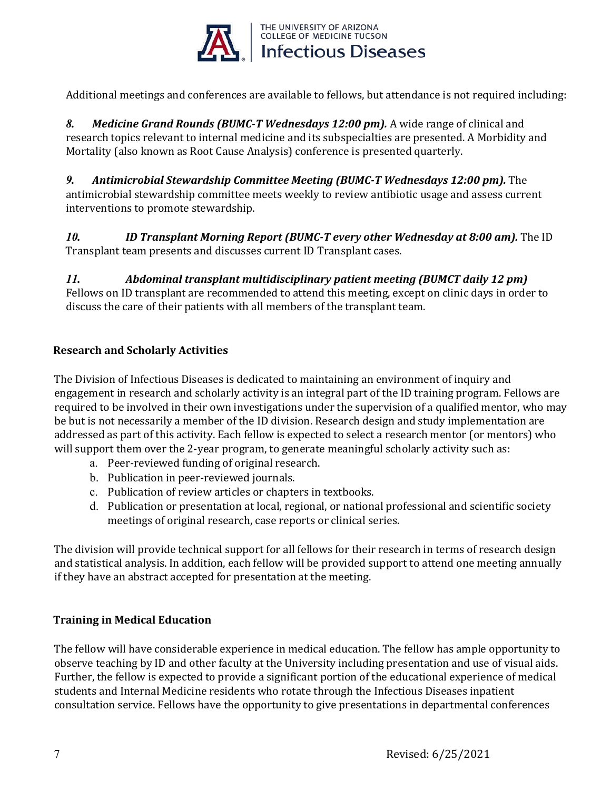

Additional meetings and conferences are available to fellows, but attendance is not required including:

*8. Medicine Grand Rounds (BUMC-T Wednesdays 12:00 pm).* A wide range of clinical and research topics relevant to internal medicine and its subspecialties are presented. A Morbidity and Mortality (also known as Root Cause Analysis) conference is presented quarterly.

*9. Antimicrobial Stewardship Committee Meeting (BUMC-T Wednesdays 12:00 pm).* The antimicrobial stewardship committee meets weekly to review antibiotic usage and assess current interventions to promote stewardship.

*10. ID Transplant Morning Report (BUMC-T every other Wednesday at 8:00 am).* The ID Transplant team presents and discusses current ID Transplant cases.

*11. Abdominal transplant multidisciplinary patient meeting (BUMCT daily 12 pm)*  Fellows on ID transplant are recommended to attend this meeting, except on clinic days in order to discuss the care of their patients with all members of the transplant team.

### **Research and Scholarly Activities**

The Division of Infectious Diseases is dedicated to maintaining an environment of inquiry and engagement in research and scholarly activity is an integral part of the ID training program. Fellows are required to be involved in their own investigations under the supervision of a qualified mentor, who may be but is not necessarily a member of the ID division. Research design and study implementation are addressed as part of this activity. Each fellow is expected to select a research mentor (or mentors) who will support them over the 2-year program, to generate meaningful scholarly activity such as:

- a. Peer-reviewed funding of original research.
- b. Publication in peer-reviewed journals.
- c. Publication of review articles or chapters in textbooks.
- d. Publication or presentation at local, regional, or national professional and scientific society meetings of original research, case reports or clinical series.

The division will provide technical support for all fellows for their research in terms of research design and statistical analysis. In addition, each fellow will be provided support to attend one meeting annually if they have an abstract accepted for presentation at the meeting.

### **Training in Medical Education**

The fellow will have considerable experience in medical education. The fellow has ample opportunity to observe teaching by ID and other faculty at the University including presentation and use of visual aids. Further, the fellow is expected to provide a significant portion of the educational experience of medical students and Internal Medicine residents who rotate through the Infectious Diseases inpatient consultation service. Fellows have the opportunity to give presentations in departmental conferences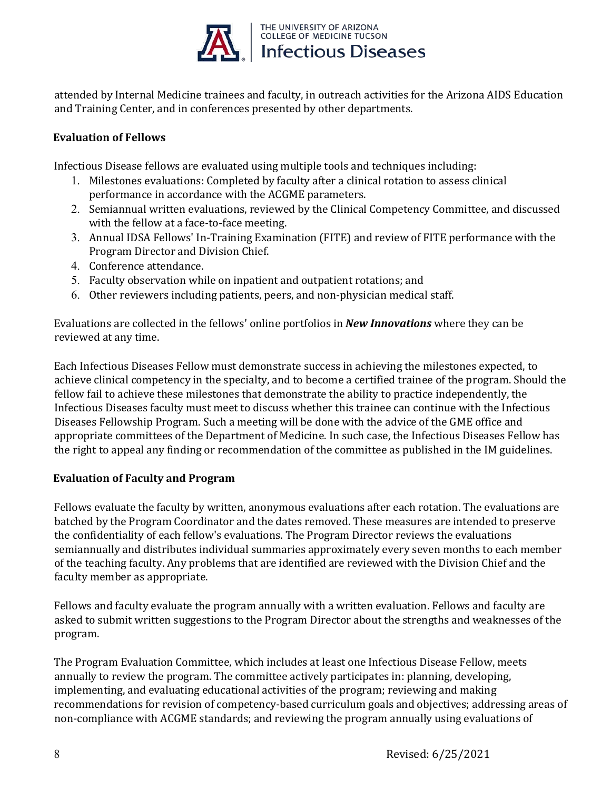

attended by Internal Medicine trainees and faculty, in outreach activities for the Arizona AIDS Education and Training Center, and in conferences presented by other departments.

### **Evaluation of Fellows**

Infectious Disease fellows are evaluated using multiple tools and techniques including:

- 1. Milestones evaluations: Completed by faculty after a clinical rotation to assess clinical performance in accordance with the ACGME parameters.
- 2. Semiannual written evaluations, reviewed by the Clinical Competency Committee, and discussed with the fellow at a face-to-face meeting.
- 3. Annual IDSA Fellows' In-Training Examination (FITE) and review of FITE performance with the Program Director and Division Chief.
- 4. Conference attendance.
- 5. Faculty observation while on inpatient and outpatient rotations; and
- 6. Other reviewers including patients, peers, and non-physician medical staff.

Evaluations are collected in the fellows' online portfolios in *New Innovations* where they can be reviewed at any time.

Each Infectious Diseases Fellow must demonstrate success in achieving the milestones expected, to achieve clinical competency in the specialty, and to become a certified trainee of the program. Should the fellow fail to achieve these milestones that demonstrate the ability to practice independently, the Infectious Diseases faculty must meet to discuss whether this trainee can continue with the Infectious Diseases Fellowship Program. Such a meeting will be done with the advice of the GME office and appropriate committees of the Department of Medicine. In such case, the Infectious Diseases Fellow has the right to appeal any finding or recommendation of the committee as published in the IM guidelines.

### **Evaluation of Faculty and Program**

Fellows evaluate the faculty by written, anonymous evaluations after each rotation. The evaluations are batched by the Program Coordinator and the dates removed. These measures are intended to preserve the confidentiality of each fellow's evaluations. The Program Director reviews the evaluations semiannually and distributes individual summaries approximately every seven months to each member of the teaching faculty. Any problems that are identified are reviewed with the Division Chief and the faculty member as appropriate.

Fellows and faculty evaluate the program annually with a written evaluation. Fellows and faculty are asked to submit written suggestions to the Program Director about the strengths and weaknesses of the program.

The Program Evaluation Committee, which includes at least one Infectious Disease Fellow, meets annually to review the program. The committee actively participates in: planning, developing, implementing, and evaluating educational activities of the program; reviewing and making recommendations for revision of competency-based curriculum goals and objectives; addressing areas of non-compliance with ACGME standards; and reviewing the program annually using evaluations of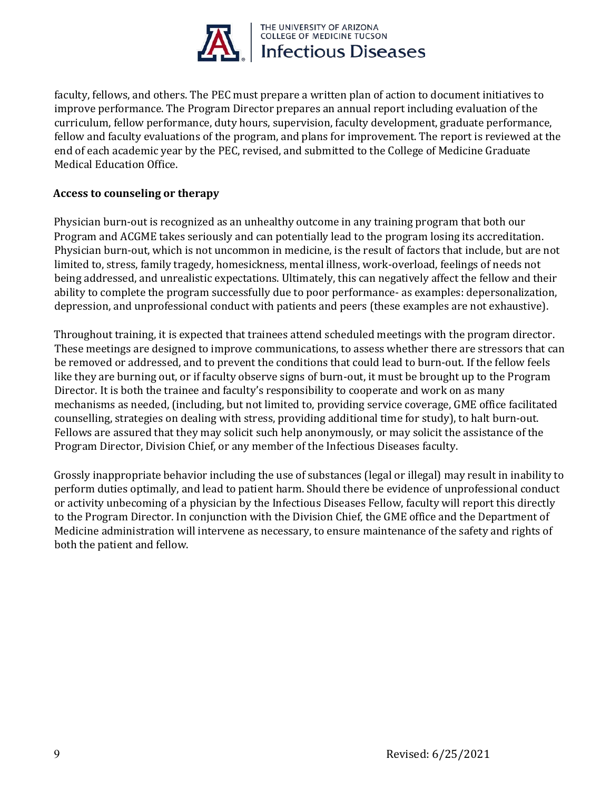

faculty, fellows, and others. The PEC must prepare a written plan of action to document initiatives to improve performance. The Program Director prepares an annual report including evaluation of the curriculum, fellow performance, duty hours, supervision, faculty development, graduate performance, fellow and faculty evaluations of the program, and plans for improvement. The report is reviewed at the end of each academic year by the PEC, revised, and submitted to the College of Medicine Graduate Medical Education Office.

### **Access to counseling or therapy**

Physician burn-out is recognized as an unhealthy outcome in any training program that both our Program and ACGME takes seriously and can potentially lead to the program losing its accreditation. Physician burn-out, which is not uncommon in medicine, is the result of factors that include, but are not limited to, stress, family tragedy, homesickness, mental illness, work-overload, feelings of needs not being addressed, and unrealistic expectations. Ultimately, this can negatively affect the fellow and their ability to complete the program successfully due to poor performance- as examples: depersonalization, depression, and unprofessional conduct with patients and peers (these examples are not exhaustive).

Throughout training, it is expected that trainees attend scheduled meetings with the program director. These meetings are designed to improve communications, to assess whether there are stressors that can be removed or addressed, and to prevent the conditions that could lead to burn-out. If the fellow feels like they are burning out, or if faculty observe signs of burn-out, it must be brought up to the Program Director. It is both the trainee and faculty's responsibility to cooperate and work on as many mechanisms as needed, (including, but not limited to, providing service coverage, GME office facilitated counselling, strategies on dealing with stress, providing additional time for study), to halt burn-out. Fellows are assured that they may solicit such help anonymously, or may solicit the assistance of the Program Director, Division Chief, or any member of the Infectious Diseases faculty.

Grossly inappropriate behavior including the use of substances (legal or illegal) may result in inability to perform duties optimally, and lead to patient harm. Should there be evidence of unprofessional conduct or activity unbecoming of a physician by the Infectious Diseases Fellow, faculty will report this directly to the Program Director. In conjunction with the Division Chief, the GME office and the Department of Medicine administration will intervene as necessary, to ensure maintenance of the safety and rights of both the patient and fellow.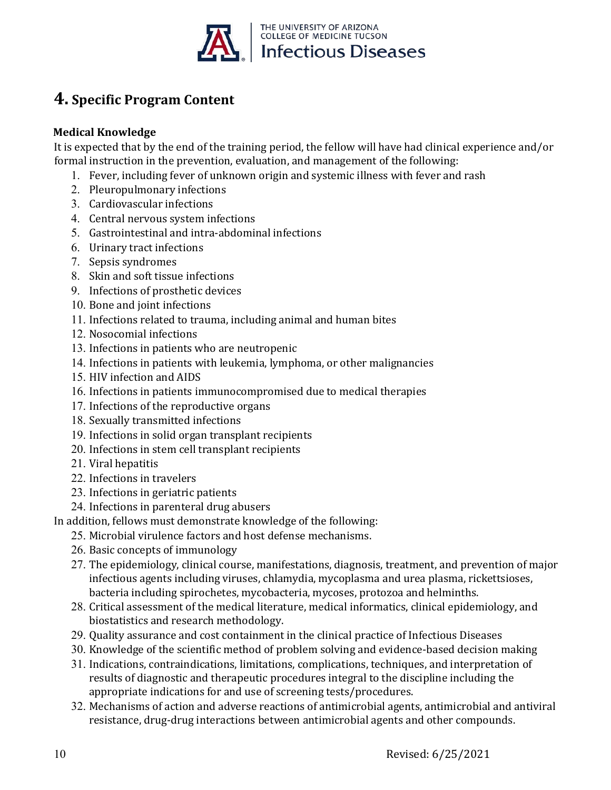

# **4. Specific Program Content**

### **Medical Knowledge**

It is expected that by the end of the training period, the fellow will have had clinical experience and/or formal instruction in the prevention, evaluation, and management of the following:

- 1. Fever, including fever of unknown origin and systemic illness with fever and rash
- 2. Pleuropulmonary infections
- 3. Cardiovascular infections
- 4. Central nervous system infections
- 5. Gastrointestinal and intra-abdominal infections
- 6. Urinary tract infections
- 7. Sepsis syndromes
- 8. Skin and soft tissue infections
- 9. Infections of prosthetic devices
- 10. Bone and joint infections
- 11. Infections related to trauma, including animal and human bites
- 12. Nosocomial infections
- 13. Infections in patients who are neutropenic
- 14. Infections in patients with leukemia, lymphoma, or other malignancies
- 15. HIV infection and AIDS
- 16. Infections in patients immunocompromised due to medical therapies
- 17. Infections of the reproductive organs
- 18. Sexually transmitted infections
- 19. Infections in solid organ transplant recipients
- 20. Infections in stem cell transplant recipients
- 21. Viral hepatitis
- 22. Infections in travelers
- 23. Infections in geriatric patients
- 24. Infections in parenteral drug abusers
- In addition, fellows must demonstrate knowledge of the following:
	- 25. Microbial virulence factors and host defense mechanisms.
	- 26. Basic concepts of immunology
	- 27. The epidemiology, clinical course, manifestations, diagnosis, treatment, and prevention of major infectious agents including viruses, chlamydia, mycoplasma and urea plasma, rickettsioses, bacteria including spirochetes, mycobacteria, mycoses, protozoa and helminths.
	- 28. Critical assessment of the medical literature, medical informatics, clinical epidemiology, and biostatistics and research methodology.
	- 29. Quality assurance and cost containment in the clinical practice of Infectious Diseases
	- 30. Knowledge of the scientific method of problem solving and evidence-based decision making
	- 31. Indications, contraindications, limitations, complications, techniques, and interpretation of results of diagnostic and therapeutic procedures integral to the discipline including the appropriate indications for and use of screening tests/procedures.
	- 32. Mechanisms of action and adverse reactions of antimicrobial agents, antimicrobial and antiviral resistance, drug-drug interactions between antimicrobial agents and other compounds.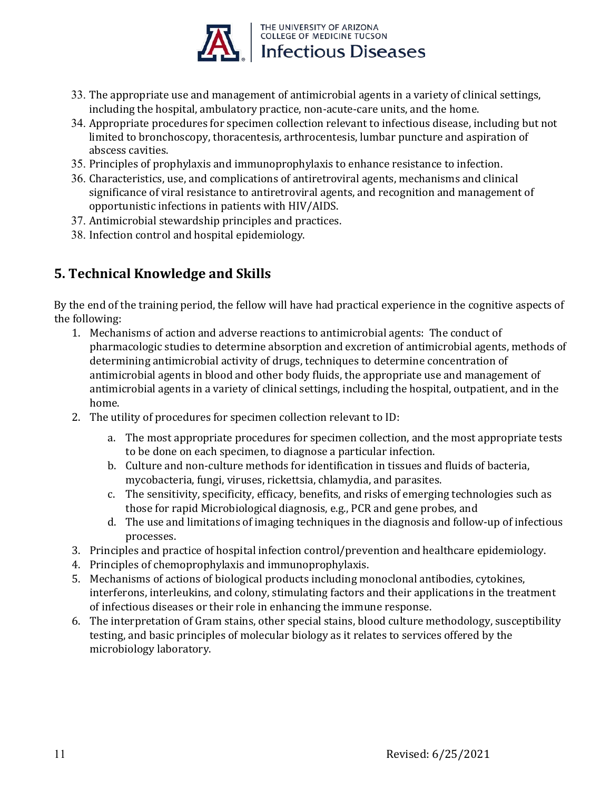

- 33. The appropriate use and management of antimicrobial agents in a variety of clinical settings, including the hospital, ambulatory practice, non-acute-care units, and the home.
- 34. Appropriate procedures for specimen collection relevant to infectious disease, including but not limited to bronchoscopy, thoracentesis, arthrocentesis, lumbar puncture and aspiration of abscess cavities.
- 35. Principles of prophylaxis and immunoprophylaxis to enhance resistance to infection.
- 36. Characteristics, use, and complications of antiretroviral agents, mechanisms and clinical significance of viral resistance to antiretroviral agents, and recognition and management of opportunistic infections in patients with HIV/AIDS.
- 37. Antimicrobial stewardship principles and practices.
- 38. Infection control and hospital epidemiology.

## **5. Technical Knowledge and Skills**

By the end of the training period, the fellow will have had practical experience in the cognitive aspects of the following:

- 1. Mechanisms of action and adverse reactions to antimicrobial agents: The conduct of pharmacologic studies to determine absorption and excretion of antimicrobial agents, methods of determining antimicrobial activity of drugs, techniques to determine concentration of antimicrobial agents in blood and other body fluids, the appropriate use and management of antimicrobial agents in a variety of clinical settings, including the hospital, outpatient, and in the home.
- 2. The utility of procedures for specimen collection relevant to ID:
	- a. The most appropriate procedures for specimen collection, and the most appropriate tests to be done on each specimen, to diagnose a particular infection.
	- b. Culture and non-culture methods for identification in tissues and fluids of bacteria, mycobacteria, fungi, viruses, rickettsia, chlamydia, and parasites.
	- c. The sensitivity, specificity, efficacy, benefits, and risks of emerging technologies such as those for rapid Microbiological diagnosis, e.g., PCR and gene probes, and
	- d. The use and limitations of imaging techniques in the diagnosis and follow-up of infectious processes.
- 3. Principles and practice of hospital infection control/prevention and healthcare epidemiology.
- 4. Principles of chemoprophylaxis and immunoprophylaxis.
- 5. Mechanisms of actions of biological products including monoclonal antibodies, cytokines, interferons, interleukins, and colony, stimulating factors and their applications in the treatment of infectious diseases or their role in enhancing the immune response.
- 6. The interpretation of Gram stains, other special stains, blood culture methodology, susceptibility testing, and basic principles of molecular biology as it relates to services offered by the microbiology laboratory.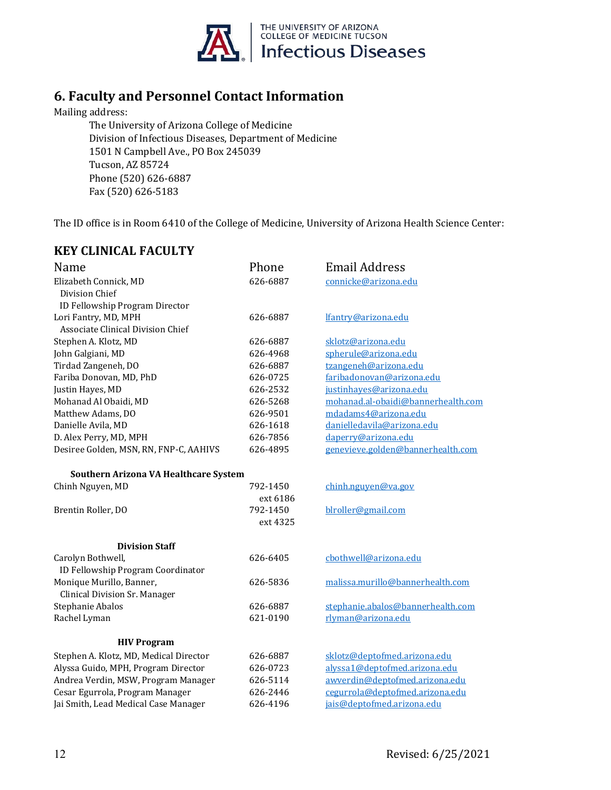

## **6. Faculty and Personnel Contact Information**

Mailing address:

The University of Arizona College of Medicine Division of Infectious Diseases, Department of Medicine 1501 N Campbell Ave., PO Box 245039 Tucson, AZ 85724 Phone (520) 626-6887 Fax (520) 626-5183

The ID office is in Room 6410 of the College of Medicine, University of Arizona Health Science Center:

| <b>KEY CLINICAL FACULTY</b>                                               |                      |                                    |
|---------------------------------------------------------------------------|----------------------|------------------------------------|
| Name                                                                      | Phone                | <b>Email Address</b>               |
| Elizabeth Connick, MD<br>Division Chief<br>ID Fellowship Program Director | 626-6887             | connicke@arizona.edu               |
| Lori Fantry, MD, MPH<br>Associate Clinical Division Chief                 | 626-6887             | lfantry@arizona.edu                |
| Stephen A. Klotz, MD                                                      | 626-6887             | sklotz@arizona.edu                 |
| John Galgiani, MD                                                         | 626-4968             | spherule@arizona.edu               |
| Tirdad Zangeneh, DO                                                       | 626-6887             | tzangeneh@arizona.edu              |
| Fariba Donovan, MD, PhD                                                   | 626-0725             | faribadonovan@arizona.edu          |
| Justin Hayes, MD                                                          | 626-2532             | justinhayes@arizona.edu            |
| Mohanad Al Obaidi, MD                                                     | 626-5268             | mohanad.al-obaidi@bannerhealth.com |
| Matthew Adams, DO                                                         | 626-9501             | mdadams4@arizona.edu               |
| Danielle Avila, MD                                                        | 626-1618             | danielledavila@arizona.edu         |
| D. Alex Perry, MD, MPH                                                    | 626-7856             | daperry@arizona.edu                |
| Desiree Golden, MSN, RN, FNP-C, AAHIVS                                    | 626-4895             | genevieve.golden@bannerhealth.com  |
| Southern Arizona VA Healthcare System                                     |                      |                                    |
| Chinh Nguyen, MD                                                          | 792-1450<br>ext 6186 | chinh.nguyen@va.gov                |
| Brentin Roller, DO                                                        | 792-1450<br>ext 4325 | blroller@gmail.com                 |
| <b>Division Staff</b>                                                     |                      |                                    |
| Carolyn Bothwell,                                                         | 626-6405             | cbothwell@arizona.edu              |
| ID Fellowship Program Coordinator                                         |                      |                                    |
| Monique Murillo, Banner,                                                  | 626-5836             | malissa.murillo@bannerhealth.com   |
| Clinical Division Sr. Manager                                             |                      |                                    |
| Stephanie Abalos                                                          | 626-6887             | stephanie.abalos@bannerhealth.com  |
| Rachel Lyman                                                              | 621-0190             | rlyman@arizona.edu                 |
| <b>HIV Program</b>                                                        |                      |                                    |
| Stephen A. Klotz, MD, Medical Director                                    | 626-6887             | sklotz@deptofmed.arizona.edu       |
| Alyssa Guido, MPH, Program Director                                       | 626-0723             | alyssa1@deptofmed.arizona.edu      |
| Andrea Verdin, MSW, Program Manager                                       | 626-5114             | awverdin@deptofmed.arizona.edu     |
| Cesar Egurrola, Program Manager                                           | 626-2446             | cegurrola@deptofmed.arizona.edu    |
| Jai Smith, Lead Medical Case Manager                                      | 626-4196             | jais@deptofmed.arizona.edu         |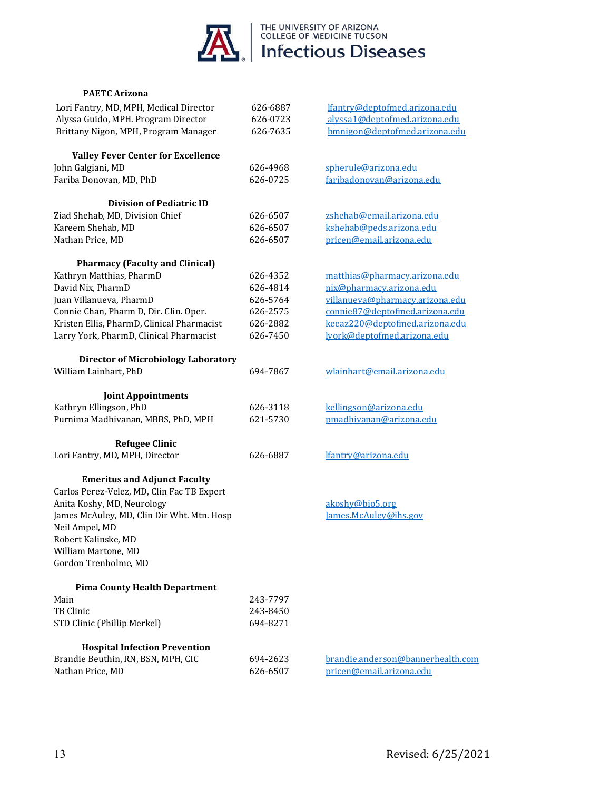

#### **PAETC Arizona**

| Lori Fantry, MD, MPH, Medical Director     | 626-6887 | lfantry@deptofmed.arizona.edu     |
|--------------------------------------------|----------|-----------------------------------|
| Alyssa Guido, MPH. Program Director        | 626-0723 | alyssa1@deptofmed.arizona.edu     |
| Brittany Nigon, MPH, Program Manager       | 626-7635 | bmnigon@deptofmed.arizona.edu     |
|                                            |          |                                   |
| <b>Valley Fever Center for Excellence</b>  |          |                                   |
| John Galgiani, MD                          | 626-4968 | spherule@arizona.edu              |
| Fariba Donovan, MD, PhD                    | 626-0725 | faribadonovan@arizona.edu         |
|                                            |          |                                   |
| <b>Division of Pediatric ID</b>            |          |                                   |
| Ziad Shehab, MD, Division Chief            | 626-6507 | zshehab@email.arizona.edu         |
| Kareem Shehab, MD                          | 626-6507 | kshehab@peds.arizona.edu          |
| Nathan Price, MD                           | 626-6507 | pricen@email.arizona.edu          |
|                                            |          |                                   |
| <b>Pharmacy (Faculty and Clinical)</b>     |          |                                   |
| Kathryn Matthias, PharmD                   | 626-4352 | matthias@pharmacy.arizona.edu     |
| David Nix, PharmD                          | 626-4814 | nix@pharmacy.arizona.edu          |
| Juan Villanueva, PharmD                    | 626-5764 | villanueva@pharmacy.arizona.edu   |
| Connie Chan, Pharm D, Dir. Clin. Oper.     | 626-2575 | connie87@deptofmed.arizona.edu    |
| Kristen Ellis, PharmD, Clinical Pharmacist | 626-2882 | keeaz220@deptofmed.arizona.edu    |
| Larry York, PharmD, Clinical Pharmacist    | 626-7450 | lyork@deptofmed.arizona.edu       |
| <b>Director of Microbiology Laboratory</b> |          |                                   |
| William Lainhart, PhD                      | 694-7867 | wlainhart@email.arizona.edu       |
|                                            |          |                                   |
| <b>Joint Appointments</b>                  |          |                                   |
| Kathryn Ellingson, PhD                     | 626-3118 | kellingson@arizona.edu            |
| Purnima Madhivanan, MBBS, PhD, MPH         | 621-5730 | pmadhivanan@arizona.edu           |
|                                            |          |                                   |
| <b>Refugee Clinic</b>                      |          |                                   |
| Lori Fantry, MD, MPH, Director             | 626-6887 | lfantry@arizona.edu               |
|                                            |          |                                   |
| <b>Emeritus and Adjunct Faculty</b>        |          |                                   |
| Carlos Perez-Velez, MD, Clin Fac TB Expert |          |                                   |
| Anita Koshy, MD, Neurology                 |          | akoshy@bio5.org                   |
| James McAuley, MD, Clin Dir Wht. Mtn. Hosp |          | James.McAuley@ihs.gov             |
| Neil Ampel, MD                             |          |                                   |
| Robert Kalinske, MD                        |          |                                   |
| William Martone, MD                        |          |                                   |
| Gordon Trenholme, MD                       |          |                                   |
| <b>Pima County Health Department</b>       |          |                                   |
| Main                                       | 243-7797 |                                   |
| TB Clinic                                  | 243-8450 |                                   |
| STD Clinic (Phillip Merkel)                | 694-8271 |                                   |
|                                            |          |                                   |
| <b>Hospital Infection Prevention</b>       |          |                                   |
| Brandie Beuthin, RN, BSN, MPH, CIC         | 694-2623 | brandie.anderson@bannerhealth.com |
| Nathan Price, MD                           | 626-6507 | pricen@email.arizona.edu          |
|                                            |          |                                   |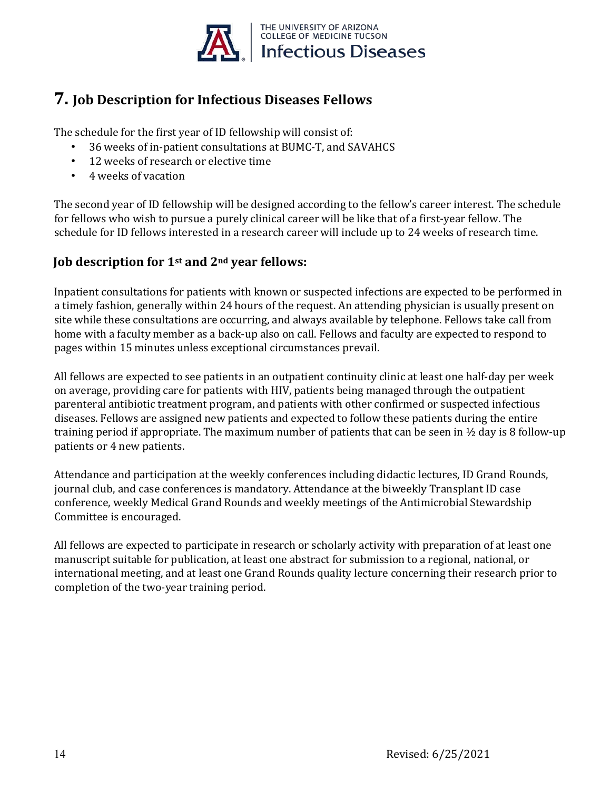

# **7. Job Description for Infectious Diseases Fellows**

The schedule for the first year of ID fellowship will consist of:

- 36 weeks of in-patient consultations at BUMC-T, and SAVAHCS
- 12 weeks of research or elective time
- 4 weeks of vacation

The second year of ID fellowship will be designed according to the fellow's career interest. The schedule for fellows who wish to pursue a purely clinical career will be like that of a first-year fellow. The schedule for ID fellows interested in a research career will include up to 24 weeks of research time.

### **Job description for 1st and 2nd year fellows:**

Inpatient consultations for patients with known or suspected infections are expected to be performed in a timely fashion, generally within 24 hours of the request. An attending physician is usually present on site while these consultations are occurring, and always available by telephone. Fellows take call from home with a faculty member as a back-up also on call. Fellows and faculty are expected to respond to pages within 15 minutes unless exceptional circumstances prevail.

All fellows are expected to see patients in an outpatient continuity clinic at least one half-day per week on average, providing care for patients with HIV, patients being managed through the outpatient parenteral antibiotic treatment program, and patients with other confirmed or suspected infectious diseases. Fellows are assigned new patients and expected to follow these patients during the entire training period if appropriate. The maximum number of patients that can be seen in ½ day is 8 follow-up patients or 4 new patients.

Attendance and participation at the weekly conferences including didactic lectures, ID Grand Rounds, journal club, and case conferences is mandatory. Attendance at the biweekly Transplant ID case conference, weekly Medical Grand Rounds and weekly meetings of the Antimicrobial Stewardship Committee is encouraged.

All fellows are expected to participate in research or scholarly activity with preparation of at least one manuscript suitable for publication, at least one abstract for submission to a regional, national, or international meeting, and at least one Grand Rounds quality lecture concerning their research prior to completion of the two-year training period.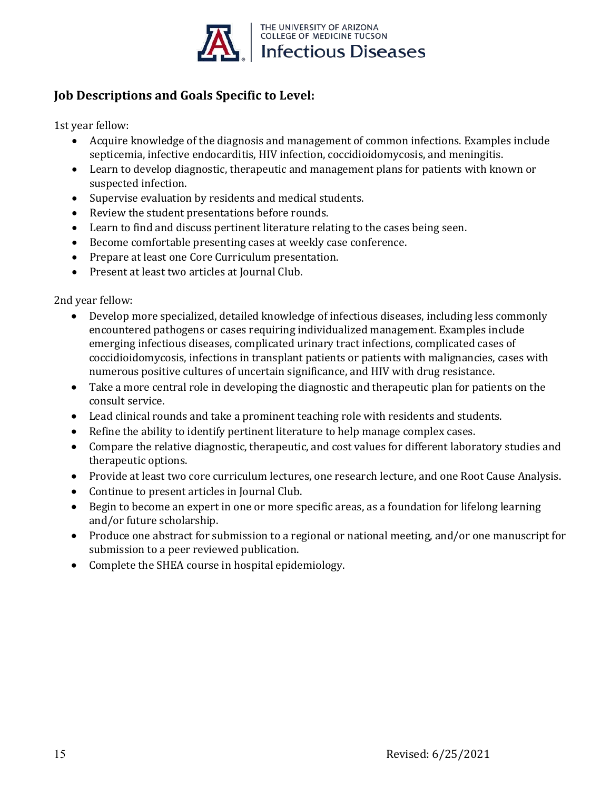

### **Job Descriptions and Goals Specific to Level:**

1st year fellow:

- Acquire knowledge of the diagnosis and management of common infections. Examples include septicemia, infective endocarditis, HIV infection, coccidioidomycosis, and meningitis.
- Learn to develop diagnostic, therapeutic and management plans for patients with known or suspected infection.
- Supervise evaluation by residents and medical students.
- Review the student presentations before rounds.
- Learn to find and discuss pertinent literature relating to the cases being seen.
- Become comfortable presenting cases at weekly case conference.
- Prepare at least one Core Curriculum presentation.
- Present at least two articles at Journal Club.

2nd year fellow:

- Develop more specialized, detailed knowledge of infectious diseases, including less commonly encountered pathogens or cases requiring individualized management. Examples include emerging infectious diseases, complicated urinary tract infections, complicated cases of coccidioidomycosis, infections in transplant patients or patients with malignancies, cases with numerous positive cultures of uncertain significance, and HIV with drug resistance.
- Take a more central role in developing the diagnostic and therapeutic plan for patients on the consult service.
- Lead clinical rounds and take a prominent teaching role with residents and students.
- Refine the ability to identify pertinent literature to help manage complex cases.
- Compare the relative diagnostic, therapeutic, and cost values for different laboratory studies and therapeutic options.
- Provide at least two core curriculum lectures, one research lecture, and one Root Cause Analysis.
- Continue to present articles in Journal Club.
- Begin to become an expert in one or more specific areas, as a foundation for lifelong learning and/or future scholarship.
- Produce one abstract for submission to a regional or national meeting, and/or one manuscript for submission to a peer reviewed publication.
- Complete the SHEA course in hospital epidemiology.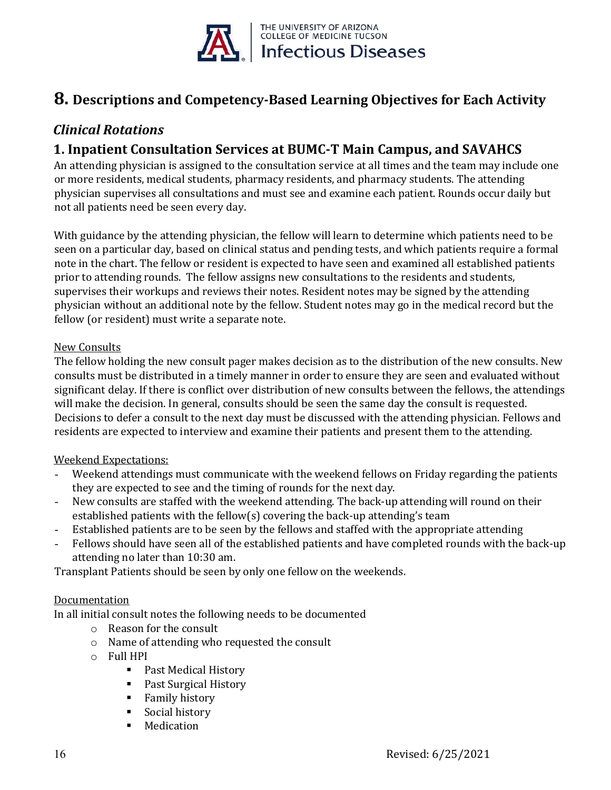

# **8. Descriptions and Competency-Based Learning Objectives for Each Activity**

## *Clinical Rotations*

## **1. Inpatient Consultation Services at BUMC-T Main Campus, and SAVAHCS**

An attending physician is assigned to the consultation service at all times and the team may include one or more residents, medical students, pharmacy residents, and pharmacy students. The attending physician supervises all consultations and must see and examine each patient. Rounds occur daily but not all patients need be seen every day.

With guidance by the attending physician, the fellow will learn to determine which patients need to be seen on a particular day, based on clinical status and pending tests, and which patients require a formal note in the chart. The fellow or resident is expected to have seen and examined all established patients prior to attending rounds. The fellow assigns new consultations to the residents and students, supervises their workups and reviews their notes. Resident notes may be signed by the attending physician without an additional note by the fellow. Student notes may go in the medical record but the fellow (or resident) must write a separate note.

### New Consults

The fellow holding the new consult pager makes decision as to the distribution of the new consults. New consults must be distributed in a timely manner in order to ensure they are seen and evaluated without significant delay. If there is conflict over distribution of new consults between the fellows, the attendings will make the decision. In general, consults should be seen the same day the consult is requested. Decisions to defer a consult to the next day must be discussed with the attending physician. Fellows and residents are expected to interview and examine their patients and present them to the attending.

### Weekend Expectations:

- Weekend attendings must communicate with the weekend fellows on Friday regarding the patients they are expected to see and the timing of rounds for the next day.
- New consults are staffed with the weekend attending. The back-up attending will round on their established patients with the fellow(s) covering the back-up attending's team
- Established patients are to be seen by the fellows and staffed with the appropriate attending
- Fellows should have seen all of the established patients and have completed rounds with the back-up attending no later than 10:30 am.

Transplant Patients should be seen by only one fellow on the weekends.

### Documentation

In all initial consult notes the following needs to be documented

- o Reason for the consult
- o Name of attending who requested the consult
- o Full HPI
	- Past Medical History
	- Past Surgical History
	- **Family history**
	- **Social history**
	- **Medication**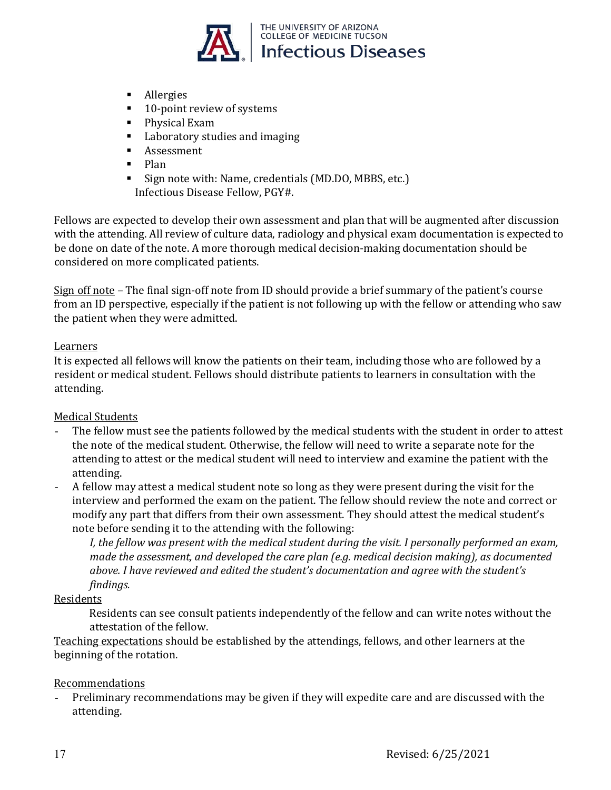

- **Allergies**
- 10-point review of systems
- **Physical Exam**
- **Laboratory studies and imaging**
- **Assessment**
- $\blacksquare$  Plan
- Sign note with: Name, credentials (MD.DO, MBBS, etc.) Infectious Disease Fellow, PGY#.

Fellows are expected to develop their own assessment and plan that will be augmented after discussion with the attending. All review of culture data, radiology and physical exam documentation is expected to be done on date of the note. A more thorough medical decision-making documentation should be considered on more complicated patients.

Sign off note – The final sign-off note from ID should provide a brief summary of the patient's course from an ID perspective, especially if the patient is not following up with the fellow or attending who saw the patient when they were admitted.

### Learners

It is expected all fellows will know the patients on their team, including those who are followed by a resident or medical student. Fellows should distribute patients to learners in consultation with the attending.

### Medical Students

- The fellow must see the patients followed by the medical students with the student in order to attest the note of the medical student. Otherwise, the fellow will need to write a separate note for the attending to attest or the medical student will need to interview and examine the patient with the attending.
- A fellow may attest a medical student note so long as they were present during the visit for the interview and performed the exam on the patient. The fellow should review the note and correct or modify any part that differs from their own assessment. They should attest the medical student's note before sending it to the attending with the following:

*I, the fellow was present with the medical student during the visit. I personally performed an exam, made the assessment, and developed the care plan (e.g. medical decision making), as documented above. I have reviewed and edited the student's documentation and agree with the student's findings.* 

### Residents

Residents can see consult patients independently of the fellow and can write notes without the attestation of the fellow.

Teaching expectations should be established by the attendings, fellows, and other learners at the beginning of the rotation.

### Recommendations

- Preliminary recommendations may be given if they will expedite care and are discussed with the attending.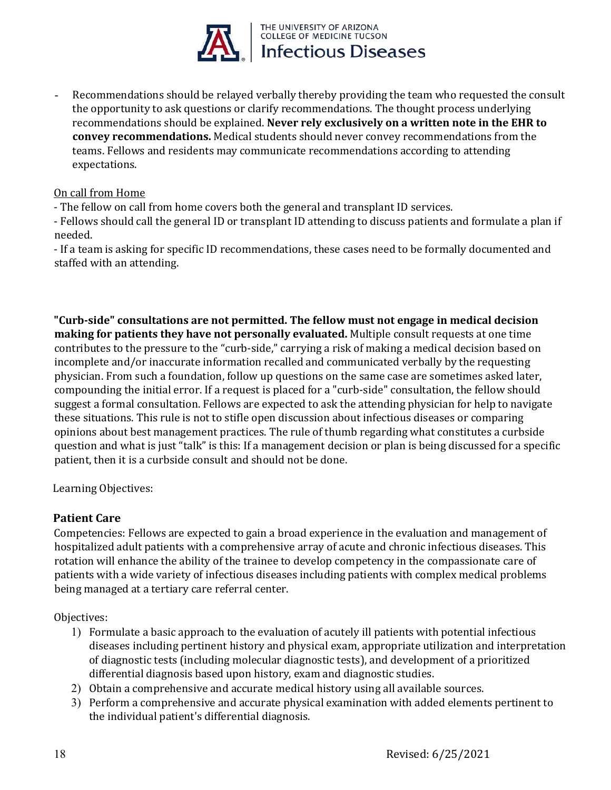

Recommendations should be relayed verbally thereby providing the team who requested the consult the opportunity to ask questions or clarify recommendations. The thought process underlying recommendations should be explained. **Never rely exclusively on a written note in the EHR to convey recommendations.** Medical students should never convey recommendations from the teams. Fellows and residents may communicate recommendations according to attending expectations.

### On call from Home

- The fellow on call from home covers both the general and transplant ID services.

- Fellows should call the general ID or transplant ID attending to discuss patients and formulate a plan if needed.

- If a team is asking for specific ID recommendations, these cases need to be formally documented and staffed with an attending.

**"Curb-side" consultations are not permitted. The fellow must not engage in medical decision making for patients they have not personally evaluated.** Multiple consult requests at one time contributes to the pressure to the "curb-side," carrying a risk of making a medical decision based on incomplete and/or inaccurate information recalled and communicated verbally by the requesting physician. From such a foundation, follow up questions on the same case are sometimes asked later, compounding the initial error. If a request is placed for a "curb-side" consultation, the fellow should suggest a formal consultation. Fellows are expected to ask the attending physician for help to navigate these situations. This rule is not to stifle open discussion about infectious diseases or comparing opinions about best management practices. The rule of thumb regarding what constitutes a curbside question and what is just "talk" is this: If a management decision or plan is being discussed for a specific patient, then it is a curbside consult and should not be done.

Learning Objectives:

### **Patient Care**

Competencies: Fellows are expected to gain a broad experience in the evaluation and management of hospitalized adult patients with a comprehensive array of acute and chronic infectious diseases. This rotation will enhance the ability of the trainee to develop competency in the compassionate care of patients with a wide variety of infectious diseases including patients with complex medical problems being managed at a tertiary care referral center.

Objectives:

- 1) Formulate a basic approach to the evaluation of acutely ill patients with potential infectious diseases including pertinent history and physical exam, appropriate utilization and interpretation of diagnostic tests (including molecular diagnostic tests), and development of a prioritized differential diagnosis based upon history, exam and diagnostic studies.
- 2) Obtain a comprehensive and accurate medical history using all available sources.
- 3) Perform a comprehensive and accurate physical examination with added elements pertinent to the individual patient's differential diagnosis.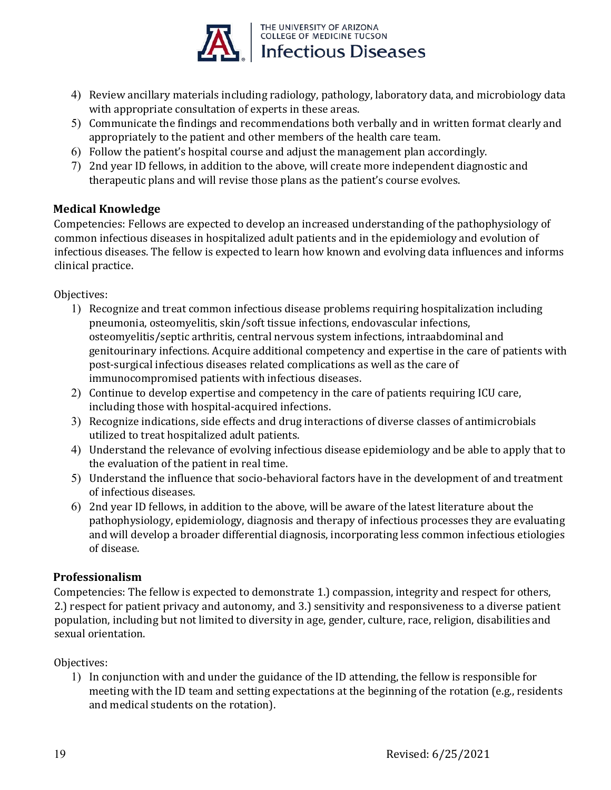

- 4) Review ancillary materials including radiology, pathology, laboratory data, and microbiology data with appropriate consultation of experts in these areas.
- 5) Communicate the findings and recommendations both verbally and in written format clearly and appropriately to the patient and other members of the health care team.
- 6) Follow the patient's hospital course and adjust the management plan accordingly.
- 7) 2nd year ID fellows, in addition to the above, will create more independent diagnostic and therapeutic plans and will revise those plans as the patient's course evolves.

### **Medical Knowledge**

Competencies: Fellows are expected to develop an increased understanding of the pathophysiology of common infectious diseases in hospitalized adult patients and in the epidemiology and evolution of infectious diseases. The fellow is expected to learn how known and evolving data influences and informs clinical practice.

Objectives:

- 1) Recognize and treat common infectious disease problems requiring hospitalization including pneumonia, osteomyelitis, skin/soft tissue infections, endovascular infections, osteomyelitis/septic arthritis, central nervous system infections, intraabdominal and genitourinary infections. Acquire additional competency and expertise in the care of patients with post-surgical infectious diseases related complications as well as the care of immunocompromised patients with infectious diseases.
- 2) Continue to develop expertise and competency in the care of patients requiring ICU care, including those with hospital-acquired infections.
- 3) Recognize indications, side effects and drug interactions of diverse classes of antimicrobials utilized to treat hospitalized adult patients.
- 4) Understand the relevance of evolving infectious disease epidemiology and be able to apply that to the evaluation of the patient in real time.
- 5) Understand the influence that socio-behavioral factors have in the development of and treatment of infectious diseases.
- 6) 2nd year ID fellows, in addition to the above, will be aware of the latest literature about the pathophysiology, epidemiology, diagnosis and therapy of infectious processes they are evaluating and will develop a broader differential diagnosis, incorporating less common infectious etiologies of disease.

### **Professionalism**

Competencies: The fellow is expected to demonstrate 1.) compassion, integrity and respect for others, 2.) respect for patient privacy and autonomy, and 3.) sensitivity and responsiveness to a diverse patient population, including but not limited to diversity in age, gender, culture, race, religion, disabilities and sexual orientation.

### Objectives:

1) In conjunction with and under the guidance of the ID attending, the fellow is responsible for meeting with the ID team and setting expectations at the beginning of the rotation (e.g., residents and medical students on the rotation).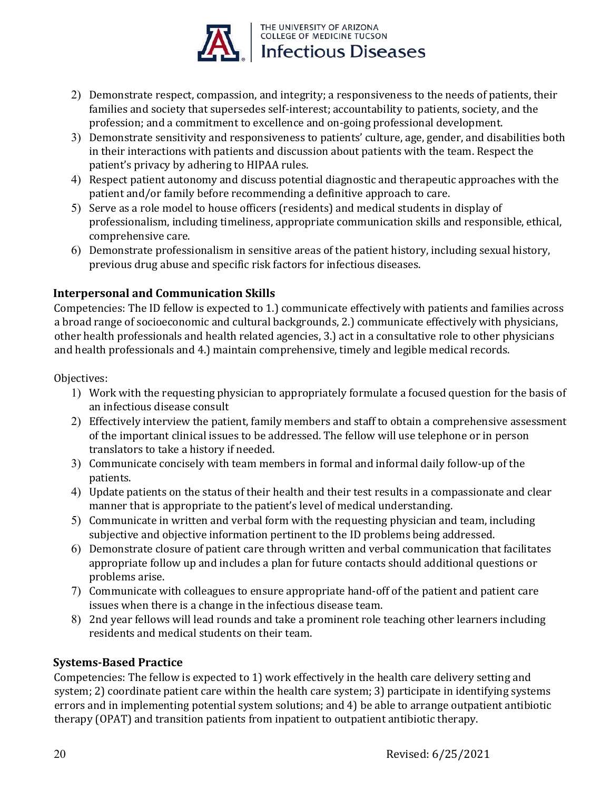

- 2) Demonstrate respect, compassion, and integrity; a responsiveness to the needs of patients, their families and society that supersedes self-interest; accountability to patients, society, and the profession; and a commitment to excellence and on-going professional development.
- 3) Demonstrate sensitivity and responsiveness to patients' culture, age, gender, and disabilities both in their interactions with patients and discussion about patients with the team. Respect the patient's privacy by adhering to HIPAA rules.
- 4) Respect patient autonomy and discuss potential diagnostic and therapeutic approaches with the patient and/or family before recommending a definitive approach to care.
- 5) Serve as a role model to house officers (residents) and medical students in display of professionalism, including timeliness, appropriate communication skills and responsible, ethical, comprehensive care.
- 6) Demonstrate professionalism in sensitive areas of the patient history, including sexual history, previous drug abuse and specific risk factors for infectious diseases.

### **Interpersonal and Communication Skills**

Competencies: The ID fellow is expected to 1.) communicate effectively with patients and families across a broad range of socioeconomic and cultural backgrounds, 2.) communicate effectively with physicians, other health professionals and health related agencies, 3.) act in a consultative role to other physicians and health professionals and 4.) maintain comprehensive, timely and legible medical records.

### Objectives:

- 1) Work with the requesting physician to appropriately formulate a focused question for the basis of an infectious disease consult
- 2) Effectively interview the patient, family members and staff to obtain a comprehensive assessment of the important clinical issues to be addressed. The fellow will use telephone or in person translators to take a history if needed.
- 3) Communicate concisely with team members in formal and informal daily follow-up of the patients.
- 4) Update patients on the status of their health and their test results in a compassionate and clear manner that is appropriate to the patient's level of medical understanding.
- 5) Communicate in written and verbal form with the requesting physician and team, including subjective and objective information pertinent to the ID problems being addressed.
- 6) Demonstrate closure of patient care through written and verbal communication that facilitates appropriate follow up and includes a plan for future contacts should additional questions or problems arise.
- 7) Communicate with colleagues to ensure appropriate hand-off of the patient and patient care issues when there is a change in the infectious disease team.
- 8) 2nd year fellows will lead rounds and take a prominent role teaching other learners including residents and medical students on their team.

### **Systems-Based Practice**

Competencies: The fellow is expected to 1) work effectively in the health care delivery setting and system; 2) coordinate patient care within the health care system; 3) participate in identifying systems errors and in implementing potential system solutions; and 4) be able to arrange outpatient antibiotic therapy (OPAT) and transition patients from inpatient to outpatient antibiotic therapy.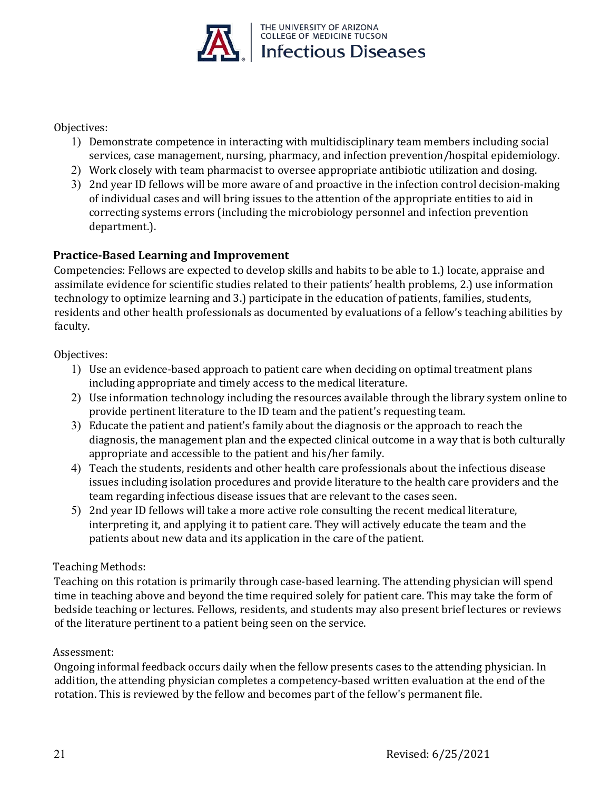

Objectives:

- 1) Demonstrate competence in interacting with multidisciplinary team members including social services, case management, nursing, pharmacy, and infection prevention/hospital epidemiology.
- 2) Work closely with team pharmacist to oversee appropriate antibiotic utilization and dosing.
- 3) 2nd year ID fellows will be more aware of and proactive in the infection control decision-making of individual cases and will bring issues to the attention of the appropriate entities to aid in correcting systems errors (including the microbiology personnel and infection prevention department.).

### **Practice-Based Learning and Improvement**

Competencies: Fellows are expected to develop skills and habits to be able to 1.) locate, appraise and assimilate evidence for scientific studies related to their patients' health problems, 2.) use information technology to optimize learning and 3.) participate in the education of patients, families, students, residents and other health professionals as documented by evaluations of a fellow's teaching abilities by faculty.

Objectives:

- 1) Use an evidence-based approach to patient care when deciding on optimal treatment plans including appropriate and timely access to the medical literature.
- 2) Use information technology including the resources available through the library system online to provide pertinent literature to the ID team and the patient's requesting team.
- 3) Educate the patient and patient's family about the diagnosis or the approach to reach the diagnosis, the management plan and the expected clinical outcome in a way that is both culturally appropriate and accessible to the patient and his/her family.
- 4) Teach the students, residents and other health care professionals about the infectious disease issues including isolation procedures and provide literature to the health care providers and the team regarding infectious disease issues that are relevant to the cases seen.
- 5) 2nd year ID fellows will take a more active role consulting the recent medical literature, interpreting it, and applying it to patient care. They will actively educate the team and the patients about new data and its application in the care of the patient.

### Teaching Methods:

Teaching on this rotation is primarily through case-based learning. The attending physician will spend time in teaching above and beyond the time required solely for patient care. This may take the form of bedside teaching or lectures. Fellows, residents, and students may also present brief lectures or reviews of the literature pertinent to a patient being seen on the service.

### Assessment:

Ongoing informal feedback occurs daily when the fellow presents cases to the attending physician. In addition, the attending physician completes a competency-based written evaluation at the end of the rotation. This is reviewed by the fellow and becomes part of the fellow's permanent file.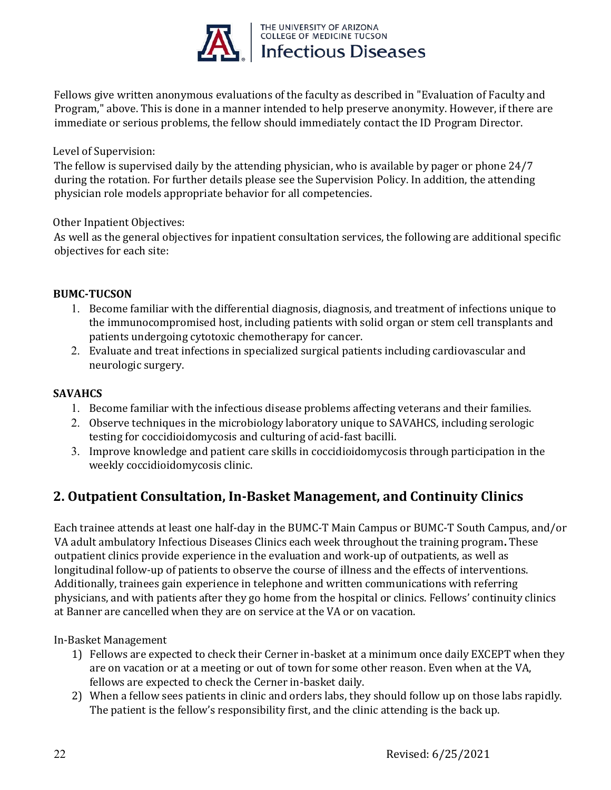

Fellows give written anonymous evaluations of the faculty as described in "Evaluation of Faculty and Program," above. This is done in a manner intended to help preserve anonymity. However, if there are immediate or serious problems, the fellow should immediately contact the ID Program Director.

### Level of Supervision:

The fellow is supervised daily by the attending physician, who is available by pager or phone 24/7 during the rotation. For further details please see the Supervision Policy. In addition, the attending physician role models appropriate behavior for all competencies.

### Other Inpatient Objectives:

As well as the general objectives for inpatient consultation services, the following are additional specific objectives for each site:

### **BUMC-TUCSON**

- 1. Become familiar with the differential diagnosis, diagnosis, and treatment of infections unique to the immunocompromised host, including patients with solid organ or stem cell transplants and patients undergoing cytotoxic chemotherapy for cancer.
- 2. Evaluate and treat infections in specialized surgical patients including cardiovascular and neurologic surgery.

### **SAVAHCS**

- 1. Become familiar with the infectious disease problems affecting veterans and their families.
- 2. Observe techniques in the microbiology laboratory unique to SAVAHCS, including serologic testing for coccidioidomycosis and culturing of acid-fast bacilli.
- 3. Improve knowledge and patient care skills in coccidioidomycosis through participation in the weekly coccidioidomycosis clinic.

### **2. Outpatient Consultation, In-Basket Management, and Continuity Clinics**

Each trainee attends at least one half-day in the BUMC-T Main Campus or BUMC-T South Campus, and/or VA adult ambulatory Infectious Diseases Clinics each week throughout the training program**.** These outpatient clinics provide experience in the evaluation and work-up of outpatients, as well as longitudinal follow-up of patients to observe the course of illness and the effects of interventions. Additionally, trainees gain experience in telephone and written communications with referring physicians, and with patients after they go home from the hospital or clinics. Fellows' continuity clinics at Banner are cancelled when they are on service at the VA or on vacation.

In-Basket Management

- 1) Fellows are expected to check their Cerner in-basket at a minimum once daily EXCEPT when they are on vacation or at a meeting or out of town for some other reason. Even when at the VA, fellows are expected to check the Cerner in-basket daily.
- 2) When a fellow sees patients in clinic and orders labs, they should follow up on those labs rapidly. The patient is the fellow's responsibility first, and the clinic attending is the back up.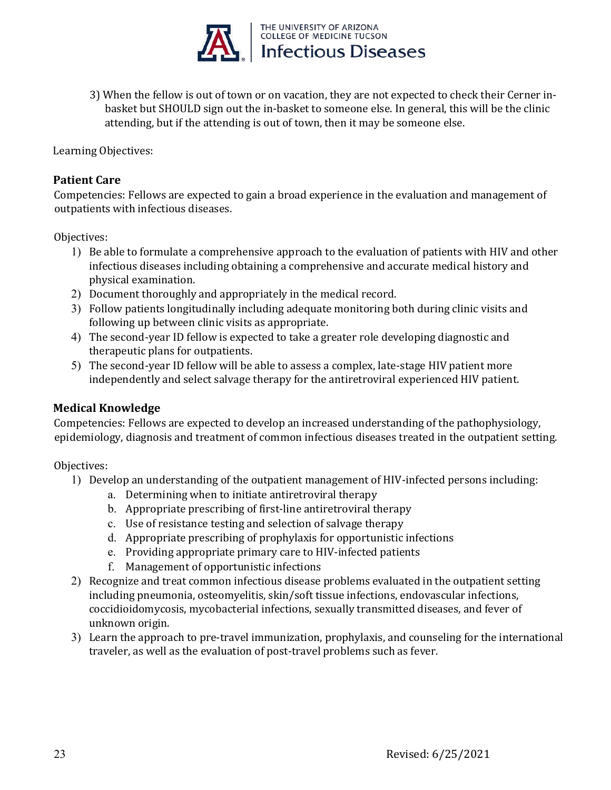

3) When the fellow is out of town or on vacation, they are not expected to check their Cerner in basket but SHOULD sign out the in-basket to someone else. In general, this will be the clinic attending, but if the attending is out of town, then it may be someone else.

Learning Objectives:

### **Patient Care**

Competencies: Fellows are expected to gain a broad experience in the evaluation and management of outpatients with infectious diseases.

Objectives:

- 1) Be able to formulate a comprehensive approach to the evaluation of patients with HIV and other infectious diseases including obtaining a comprehensive and accurate medical history and physical examination.
- 2) Document thoroughly and appropriately in the medical record.
- 3) Follow patients longitudinally including adequate monitoring both during clinic visits and following up between clinic visits as appropriate.
- 4) The second-year ID fellow is expected to take a greater role developing diagnostic and therapeutic plans for outpatients.
- 5) The second-year ID fellow will be able to assess a complex, late-stage HIV patient more independently and select salvage therapy for the antiretroviral experienced HIV patient.

### **Medical Knowledge**

Competencies: Fellows are expected to develop an increased understanding of the pathophysiology, epidemiology, diagnosis and treatment of common infectious diseases treated in the outpatient setting.

Objectives:

- 1) Develop an understanding of the outpatient management of HIV-infected persons including:
	- a. Determining when to initiate antiretroviral therapy
	- b. Appropriate prescribing of first-line antiretroviral therapy
	- c. Use of resistance testing and selection of salvage therapy
	- d. Appropriate prescribing of prophylaxis for opportunistic infections
	- e. Providing appropriate primary care to HIV-infected patients
	- f. Management of opportunistic infections
- 2) Recognize and treat common infectious disease problems evaluated in the outpatient setting including pneumonia, osteomyelitis, skin/soft tissue infections, endovascular infections, coccidioidomycosis, mycobacterial infections, sexually transmitted diseases, and fever of unknown origin.
- 3) Learn the approach to pre-travel immunization, prophylaxis, and counseling for the international traveler, as well as the evaluation of post-travel problems such as fever.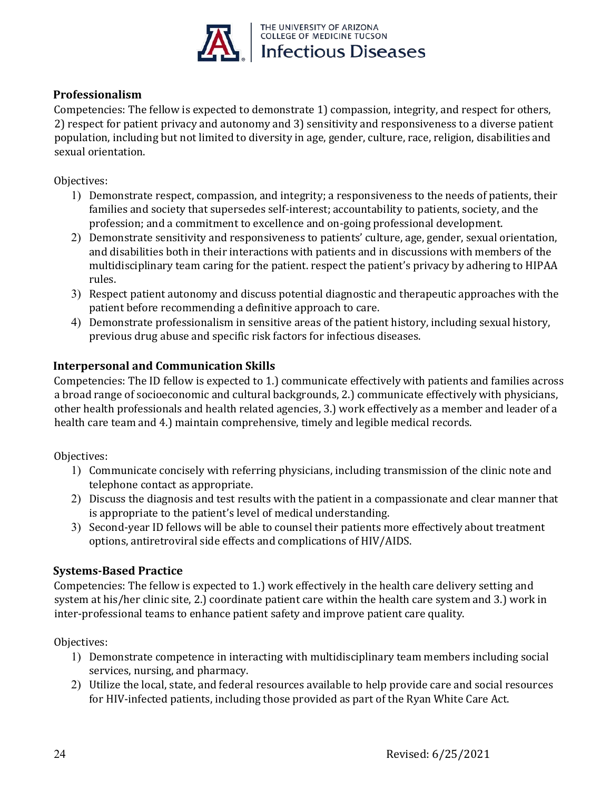

### **Professionalism**

Competencies: The fellow is expected to demonstrate 1) compassion, integrity, and respect for others, 2) respect for patient privacy and autonomy and 3) sensitivity and responsiveness to a diverse patient population, including but not limited to diversity in age, gender, culture, race, religion, disabilities and sexual orientation.

Objectives:

- 1) Demonstrate respect, compassion, and integrity; a responsiveness to the needs of patients, their families and society that supersedes self-interest; accountability to patients, society, and the profession; and a commitment to excellence and on-going professional development.
- 2) Demonstrate sensitivity and responsiveness to patients' culture, age, gender, sexual orientation, and disabilities both in their interactions with patients and in discussions with members of the multidisciplinary team caring for the patient. respect the patient's privacy by adhering to HIPAA rules.
- 3) Respect patient autonomy and discuss potential diagnostic and therapeutic approaches with the patient before recommending a definitive approach to care.
- 4) Demonstrate professionalism in sensitive areas of the patient history, including sexual history, previous drug abuse and specific risk factors for infectious diseases.

### **Interpersonal and Communication Skills**

Competencies: The ID fellow is expected to 1.) communicate effectively with patients and families across a broad range of socioeconomic and cultural backgrounds, 2.) communicate effectively with physicians, other health professionals and health related agencies, 3.) work effectively as a member and leader of a health care team and 4.) maintain comprehensive, timely and legible medical records.

Objectives:

- 1) Communicate concisely with referring physicians, including transmission of the clinic note and telephone contact as appropriate.
- 2) Discuss the diagnosis and test results with the patient in a compassionate and clear manner that is appropriate to the patient's level of medical understanding.
- 3) Second-year ID fellows will be able to counsel their patients more effectively about treatment options, antiretroviral side effects and complications of HIV/AIDS.

### **Systems-Based Practice**

Competencies: The fellow is expected to 1.) work effectively in the health care delivery setting and system at his/her clinic site, 2.) coordinate patient care within the health care system and 3.) work in inter-professional teams to enhance patient safety and improve patient care quality.

Objectives:

- 1) Demonstrate competence in interacting with multidisciplinary team members including social services, nursing, and pharmacy.
- 2) Utilize the local, state, and federal resources available to help provide care and social resources for HIV-infected patients, including those provided as part of the Ryan White Care Act.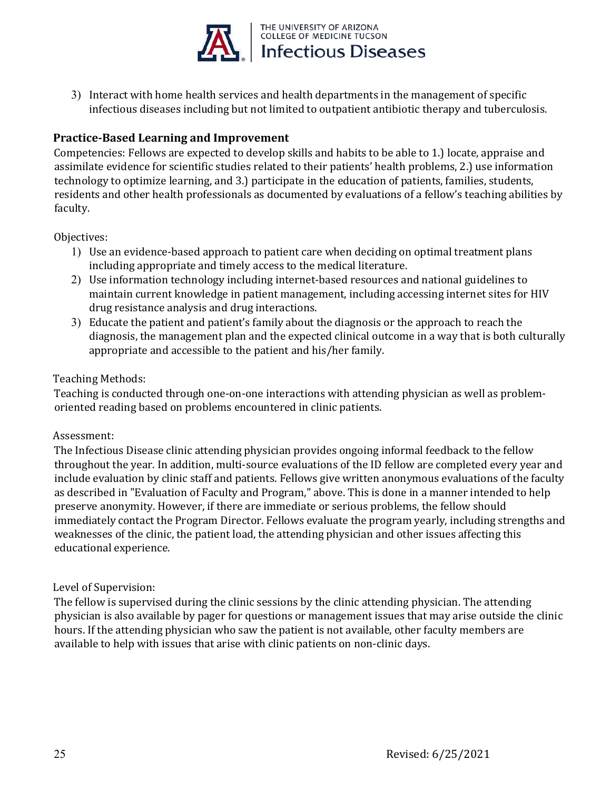

3) Interact with home health services and health departments in the management of specific infectious diseases including but not limited to outpatient antibiotic therapy and tuberculosis.

### **Practice-Based Learning and Improvement**

Competencies: Fellows are expected to develop skills and habits to be able to 1.) locate, appraise and assimilate evidence for scientific studies related to their patients' health problems, 2.) use information technology to optimize learning, and 3.) participate in the education of patients, families, students, residents and other health professionals as documented by evaluations of a fellow's teaching abilities by faculty.

Objectives:

- 1) Use an evidence-based approach to patient care when deciding on optimal treatment plans including appropriate and timely access to the medical literature.
- 2) Use information technology including internet-based resources and national guidelines to maintain current knowledge in patient management, including accessing internet sites for HIV drug resistance analysis and drug interactions.
- 3) Educate the patient and patient's family about the diagnosis or the approach to reach the diagnosis, the management plan and the expected clinical outcome in a way that is both culturally appropriate and accessible to the patient and his/her family.

### Teaching Methods:

Teaching is conducted through one-on-one interactions with attending physician as well as problemoriented reading based on problems encountered in clinic patients.

### Assessment:

The Infectious Disease clinic attending physician provides ongoing informal feedback to the fellow throughout the year. In addition, multi-source evaluations of the ID fellow are completed every year and include evaluation by clinic staff and patients. Fellows give written anonymous evaluations of the faculty as described in "Evaluation of Faculty and Program," above. This is done in a manner intended to help preserve anonymity. However, if there are immediate or serious problems, the fellow should immediately contact the Program Director. Fellows evaluate the program yearly, including strengths and weaknesses of the clinic, the patient load, the attending physician and other issues affecting this educational experience.

### Level of Supervision:

The fellow is supervised during the clinic sessions by the clinic attending physician. The attending physician is also available by pager for questions or management issues that may arise outside the clinic hours. If the attending physician who saw the patient is not available, other faculty members are available to help with issues that arise with clinic patients on non-clinic days.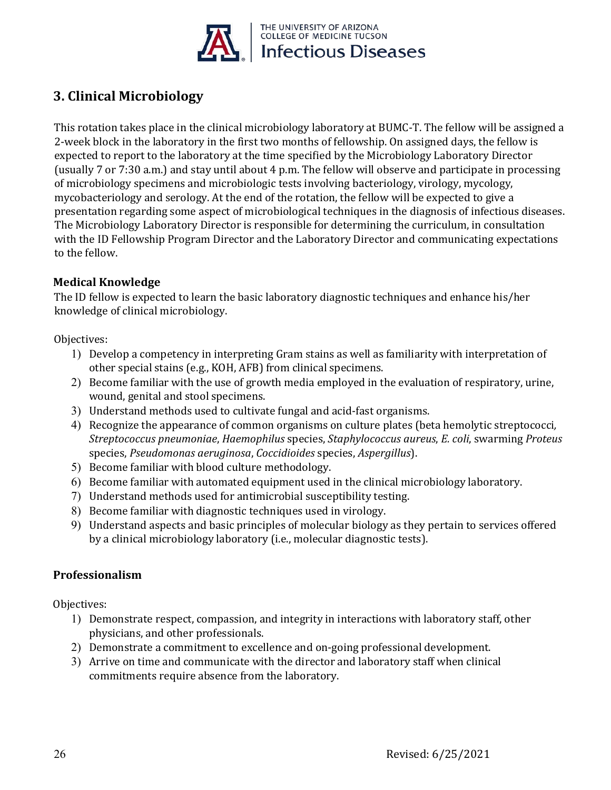

## **3. Clinical Microbiology**

This rotation takes place in the clinical microbiology laboratory at BUMC-T. The fellow will be assigned a 2-week block in the laboratory in the first two months of fellowship. On assigned days, the fellow is expected to report to the laboratory at the time specified by the Microbiology Laboratory Director (usually 7 or 7:30 a.m.) and stay until about 4 p.m. The fellow will observe and participate in processing of microbiology specimens and microbiologic tests involving bacteriology, virology, mycology, mycobacteriology and serology. At the end of the rotation, the fellow will be expected to give a presentation regarding some aspect of microbiological techniques in the diagnosis of infectious diseases. The Microbiology Laboratory Director is responsible for determining the curriculum, in consultation with the ID Fellowship Program Director and the Laboratory Director and communicating expectations to the fellow.

### **Medical Knowledge**

The ID fellow is expected to learn the basic laboratory diagnostic techniques and enhance his/her knowledge of clinical microbiology.

Objectives:

- 1) Develop a competency in interpreting Gram stains as well as familiarity with interpretation of other special stains (e.g., KOH, AFB) from clinical specimens.
- 2) Become familiar with the use of growth media employed in the evaluation of respiratory, urine, wound, genital and stool specimens.
- 3) Understand methods used to cultivate fungal and acid-fast organisms.
- 4) Recognize the appearance of common organisms on culture plates (beta hemolytic streptococci*, Streptococcus pneumoniae*, *Haemophilus* species, *Staphylococcus aureus*, *E. coli*, swarming *Proteus* species, *Pseudomonas aeruginosa*, *Coccidioides* species, *Aspergillus*).
- 5) Become familiar with blood culture methodology.
- 6) Become familiar with automated equipment used in the clinical microbiology laboratory.
- 7) Understand methods used for antimicrobial susceptibility testing.
- 8) Become familiar with diagnostic techniques used in virology.
- 9) Understand aspects and basic principles of molecular biology as they pertain to services offered by a clinical microbiology laboratory (i.e., molecular diagnostic tests).

### **Professionalism**

Objectives:

- 1) Demonstrate respect, compassion, and integrity in interactions with laboratory staff, other physicians, and other professionals.
- 2) Demonstrate a commitment to excellence and on-going professional development.
- 3) Arrive on time and communicate with the director and laboratory staff when clinical commitments require absence from the laboratory.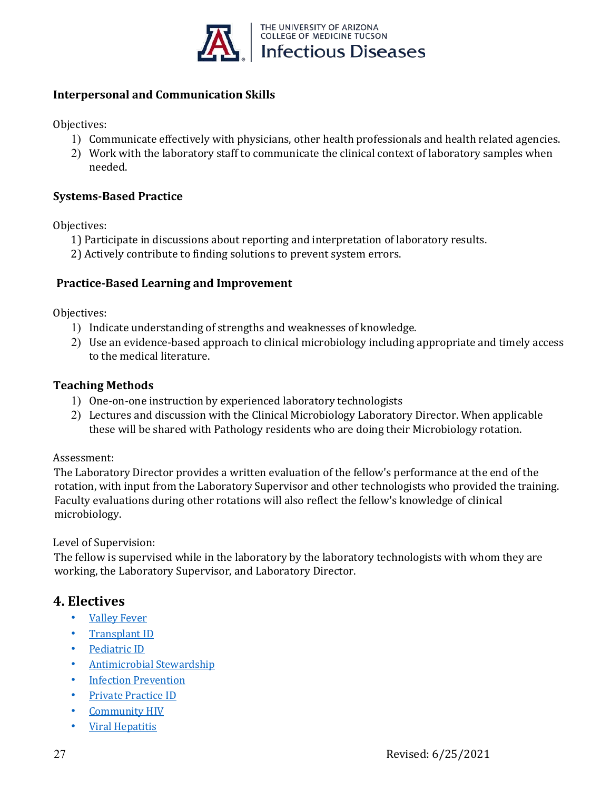

### **Interpersonal and Communication Skills**

Objectives:

- 1) Communicate effectively with physicians, other health professionals and health related agencies.
- 2) Work with the laboratory staff to communicate the clinical context of laboratory samples when needed.

### **Systems-Based Practice**

Objectives:

- 1) Participate in discussions about reporting and interpretation of laboratory results.
- 2) Actively contribute to finding solutions to prevent system errors.

### **Practice-Based Learning and Improvement**

Objectives:

- 1) Indicate understanding of strengths and weaknesses of knowledge.
- 2) Use an evidence-based approach to clinical microbiology including appropriate and timely access to the medical literature.

### **Teaching Methods**

- 1) One-on-one instruction by experienced laboratory technologists
- 2) Lectures and discussion with the Clinical Microbiology Laboratory Director. When applicable these will be shared with Pathology residents who are doing their Microbiology rotation.

### Assessment:

The Laboratory Director provides a written evaluation of the fellow's performance at the end of the rotation, with input from the Laboratory Supervisor and other technologists who provided the training. Faculty evaluations during other rotations will also reflect the fellow's knowledge of clinical microbiology.

### Level of Supervision:

The fellow is supervised while in the laboratory by the laboratory technologists with whom they are working, the Laboratory Supervisor, and Laboratory Director.

### **4. Electives**

- [Valley Fever](file://com-srv-dfs6/dom/Fellowship_Share_File/Training%20Manual/Electives/Valley%20Fever%20Elective.pdf)
- [Transplant ID](file://com-srv-dfs6/dom/Fellowship_Share_File/Training%20Manual/Electives/SOT%20Elective%20Rotation%20Goals%20and%20Objectives.pdf)
- [Pediatric ID](file://com-srv-dfs6/dom/Fellowship_Share_File/Training%20Manual/Electives/Pediatric%20ID%20Elective.pdf)
- Antimicrobial Stewardship
- **[Infection Prevention](file://com-srv-dfs6/dom/Fellowship_Share_File/Training%20Manual/Electives/Infection%20Control%20Elective.pdf)**
- [Private Practice ID](file://com-srv-dfs6/dom/Fellowship_Share_File/Training%20Manual/Electives/Private%20Practice%20Elective.pdf)
- Community HIV
- Viral Hepatitis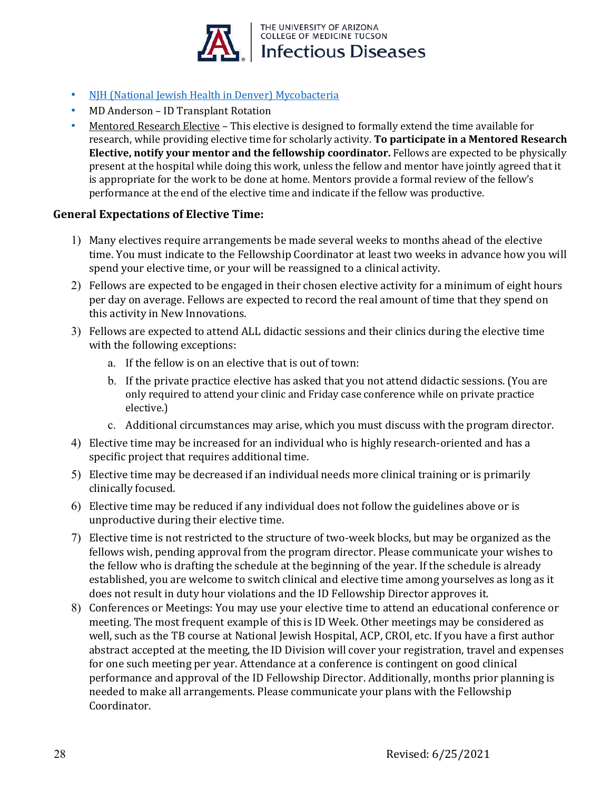

- [NJH \(National Jewish Health in Denver\) Mycobacteria](file://com-srv-dfs6/dom/Fellowship_Share_File/Training%20Manual/Electives/NJH%20Mycobacteria%20Elective.pdf)
- MD Anderson ID Transplant Rotation
- Mentored Research Elective This elective is designed to formally extend the time available for research, while providing elective time for scholarly activity. **To participate in a Mentored Research Elective, notify your mentor and the fellowship coordinator.** Fellows are expected to be physically present at the hospital while doing this work, unless the fellow and mentor have jointly agreed that it is appropriate for the work to be done at home. Mentors provide a formal review of the fellow's performance at the end of the elective time and indicate if the fellow was productive.

### **General Expectations of Elective Time:**

- 1) Many electives require arrangements be made several weeks to months ahead of the elective time. You must indicate to the Fellowship Coordinator at least two weeks in advance how you will spend your elective time, or your will be reassigned to a clinical activity.
- 2) Fellows are expected to be engaged in their chosen elective activity for a minimum of eight hours per day on average. Fellows are expected to record the real amount of time that they spend on this activity in New Innovations.
- 3) Fellows are expected to attend ALL didactic sessions and their clinics during the elective time with the following exceptions:
	- a. If the fellow is on an elective that is out of town:
	- b. If the private practice elective has asked that you not attend didactic sessions. (You are only required to attend your clinic and Friday case conference while on private practice elective.)
	- c. Additional circumstances may arise, which you must discuss with the program director.
- 4) Elective time may be increased for an individual who is highly research-oriented and has a specific project that requires additional time.
- 5) Elective time may be decreased if an individual needs more clinical training or is primarily clinically focused.
- 6) Elective time may be reduced if any individual does not follow the guidelines above or is unproductive during their elective time.
- 7) Elective time is not restricted to the structure of two-week blocks, but may be organized as the fellows wish, pending approval from the program director. Please communicate your wishes to the fellow who is drafting the schedule at the beginning of the year. If the schedule is already established, you are welcome to switch clinical and elective time among yourselves as long as it does not result in duty hour violations and the ID Fellowship Director approves it.
- 8) Conferences or Meetings: You may use your elective time to attend an educational conference or meeting. The most frequent example of this is ID Week. Other meetings may be considered as well, such as the TB course at National Jewish Hospital, ACP, CROI, etc. If you have a first author abstract accepted at the meeting, the ID Division will cover your registration, travel and expenses for one such meeting per year. Attendance at a conference is contingent on good clinical performance and approval of the ID Fellowship Director. Additionally, months prior planning is needed to make all arrangements. Please communicate your plans with the Fellowship Coordinator.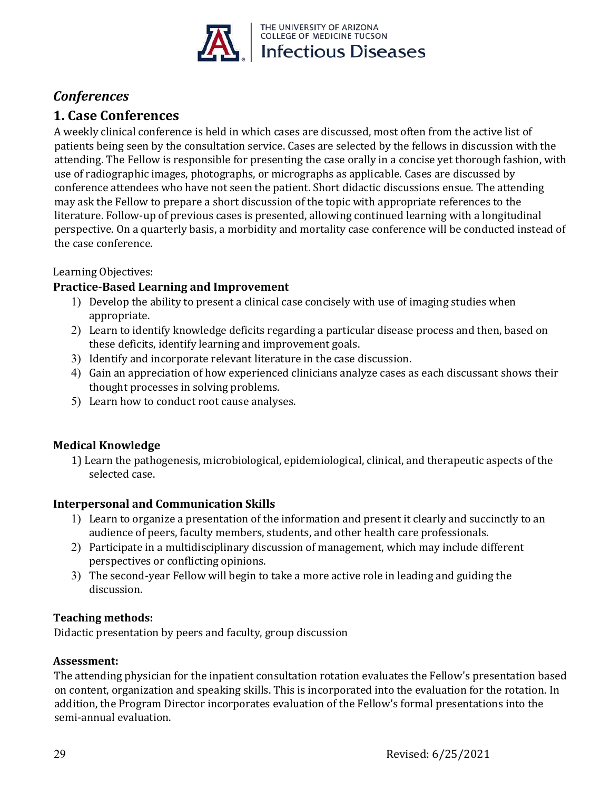

## *Conferences*

## **1. Case Conferences**

A weekly clinical conference is held in which cases are discussed, most often from the active list of patients being seen by the consultation service. Cases are selected by the fellows in discussion with the attending. The Fellow is responsible for presenting the case orally in a concise yet thorough fashion, with use of radiographic images, photographs, or micrographs as applicable. Cases are discussed by conference attendees who have not seen the patient. Short didactic discussions ensue. The attending may ask the Fellow to prepare a short discussion of the topic with appropriate references to the literature. Follow-up of previous cases is presented, allowing continued learning with a longitudinal perspective. On a quarterly basis, a morbidity and mortality case conference will be conducted instead of the case conference.

### Learning Objectives:

### **Practice-Based Learning and Improvement**

- 1) Develop the ability to present a clinical case concisely with use of imaging studies when appropriate.
- 2) Learn to identify knowledge deficits regarding a particular disease process and then, based on these deficits, identify learning and improvement goals.
- 3) Identify and incorporate relevant literature in the case discussion.
- 4) Gain an appreciation of how experienced clinicians analyze cases as each discussant shows their thought processes in solving problems.
- 5) Learn how to conduct root cause analyses.

### **Medical Knowledge**

1) Learn the pathogenesis, microbiological, epidemiological, clinical, and therapeutic aspects of the selected case.

### **Interpersonal and Communication Skills**

- 1) Learn to organize a presentation of the information and present it clearly and succinctly to an audience of peers, faculty members, students, and other health care professionals.
- 2) Participate in a multidisciplinary discussion of management, which may include different perspectives or conflicting opinions.
- 3) The second-year Fellow will begin to take a more active role in leading and guiding the discussion.

### **Teaching methods:**

Didactic presentation by peers and faculty, group discussion

### **Assessment:**

The attending physician for the inpatient consultation rotation evaluates the Fellow's presentation based on content, organization and speaking skills. This is incorporated into the evaluation for the rotation. In addition, the Program Director incorporates evaluation of the Fellow's formal presentations into the semi-annual evaluation.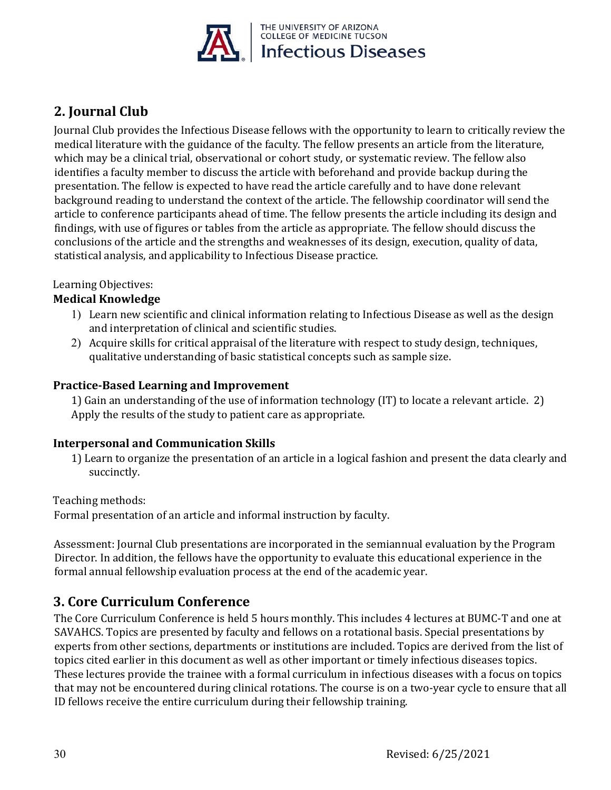

## **2. Journal Club**

Journal Club provides the Infectious Disease fellows with the opportunity to learn to critically review the medical literature with the guidance of the faculty. The fellow presents an article from the literature, which may be a clinical trial, observational or cohort study, or systematic review. The fellow also identifies a faculty member to discuss the article with beforehand and provide backup during the presentation. The fellow is expected to have read the article carefully and to have done relevant background reading to understand the context of the article. The fellowship coordinator will send the article to conference participants ahead of time. The fellow presents the article including its design and findings, with use of figures or tables from the article as appropriate. The fellow should discuss the conclusions of the article and the strengths and weaknesses of its design, execution, quality of data, statistical analysis, and applicability to Infectious Disease practice.

### Learning Objectives:

### **Medical Knowledge**

- 1) Learn new scientific and clinical information relating to Infectious Disease as well as the design and interpretation of clinical and scientific studies.
- 2) Acquire skills for critical appraisal of the literature with respect to study design, techniques, qualitative understanding of basic statistical concepts such as sample size.

### **Practice-Based Learning and Improvement**

1) Gain an understanding of the use of information technology (IT) to locate a relevant article. 2) Apply the results of the study to patient care as appropriate.

### **Interpersonal and Communication Skills**

1) Learn to organize the presentation of an article in a logical fashion and present the data clearly and succinctly.

Teaching methods:

Formal presentation of an article and informal instruction by faculty.

Assessment: Journal Club presentations are incorporated in the semiannual evaluation by the Program Director. In addition, the fellows have the opportunity to evaluate this educational experience in the formal annual fellowship evaluation process at the end of the academic year.

### **3. Core Curriculum Conference**

The Core Curriculum Conference is held 5 hours monthly. This includes 4 lectures at BUMC-T and one at SAVAHCS. Topics are presented by faculty and fellows on a rotational basis. Special presentations by experts from other sections, departments or institutions are included. Topics are derived from the list of topics cited earlier in this document as well as other important or timely infectious diseases topics. These lectures provide the trainee with a formal curriculum in infectious diseases with a focus on topics that may not be encountered during clinical rotations. The course is on a two-year cycle to ensure that all ID fellows receive the entire curriculum during their fellowship training.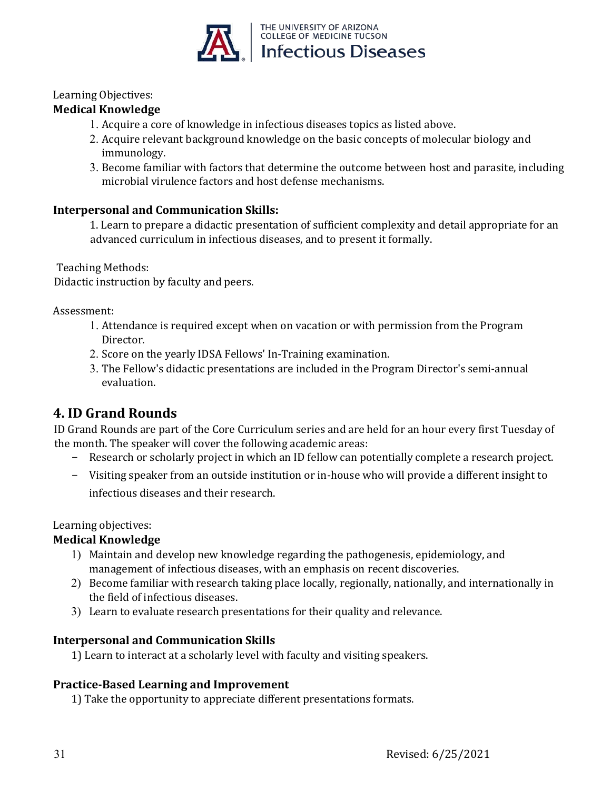

### Learning Objectives:

### **Medical Knowledge**

- 1. Acquire a core of knowledge in infectious diseases topics as listed above.
- 2. Acquire relevant background knowledge on the basic concepts of molecular biology and immunology.
- 3. Become familiar with factors that determine the outcome between host and parasite, including microbial virulence factors and host defense mechanisms.

### **Interpersonal and Communication Skills:**

1. Learn to prepare a didactic presentation of sufficient complexity and detail appropriate for an advanced curriculum in infectious diseases, and to present it formally.

Teaching Methods:

Didactic instruction by faculty and peers.

Assessment:

- 1. Attendance is required except when on vacation or with permission from the Program Director.
- 2. Score on the yearly IDSA Fellows' In-Training examination.
- 3. The Fellow's didactic presentations are included in the Program Director's semi-annual evaluation.

## **4. ID Grand Rounds**

ID Grand Rounds are part of the Core Curriculum series and are held for an hour every first Tuesday of the month. The speaker will cover the following academic areas:

- Research or scholarly project in which an ID fellow can potentially complete a research project.
- Visiting speaker from an outside institution or in-house who will provide a different insight to infectious diseases and their research.

### Learning objectives:

### **Medical Knowledge**

- 1) Maintain and develop new knowledge regarding the pathogenesis, epidemiology, and management of infectious diseases, with an emphasis on recent discoveries.
- 2) Become familiar with research taking place locally, regionally, nationally, and internationally in the field of infectious diseases.
- 3) Learn to evaluate research presentations for their quality and relevance.

### **Interpersonal and Communication Skills**

1) Learn to interact at a scholarly level with faculty and visiting speakers.

### **Practice-Based Learning and Improvement**

1) Take the opportunity to appreciate different presentations formats.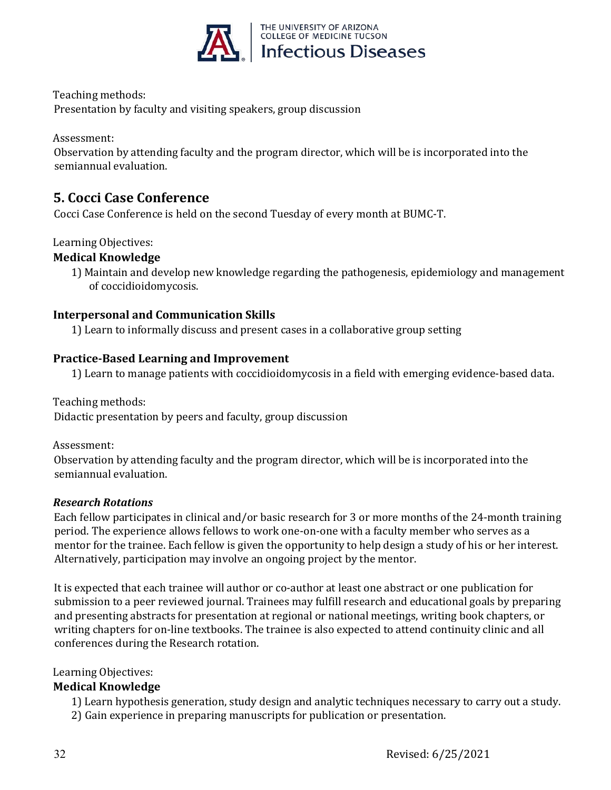

Teaching methods:

Presentation by faculty and visiting speakers, group discussion

Assessment:

Observation by attending faculty and the program director, which will be is incorporated into the semiannual evaluation.

### **5. Cocci Case Conference**

Cocci Case Conference is held on the second Tuesday of every month at BUMC-T.

### Learning Objectives:

### **Medical Knowledge**

1) Maintain and develop new knowledge regarding the pathogenesis, epidemiology and management of coccidioidomycosis.

### **Interpersonal and Communication Skills**

1) Learn to informally discuss and present cases in a collaborative group setting

### **Practice-Based Learning and Improvement**

1) Learn to manage patients with coccidioidomycosis in a field with emerging evidence-based data.

Teaching methods: Didactic presentation by peers and faculty, group discussion

Assessment:

Observation by attending faculty and the program director, which will be is incorporated into the semiannual evaluation.

### *Research Rotations*

Each fellow participates in clinical and/or basic research for 3 or more months of the 24-month training period. The experience allows fellows to work one-on-one with a faculty member who serves as a mentor for the trainee. Each fellow is given the opportunity to help design a study of his or her interest. Alternatively, participation may involve an ongoing project by the mentor.

It is expected that each trainee will author or co-author at least one abstract or one publication for submission to a peer reviewed journal. Trainees may fulfill research and educational goals by preparing and presenting abstracts for presentation at regional or national meetings, writing book chapters, or writing chapters for on-line textbooks. The trainee is also expected to attend continuity clinic and all conferences during the Research rotation.

### Learning Objectives:

### **Medical Knowledge**

1) Learn hypothesis generation, study design and analytic techniques necessary to carry out a study.

2) Gain experience in preparing manuscripts for publication or presentation.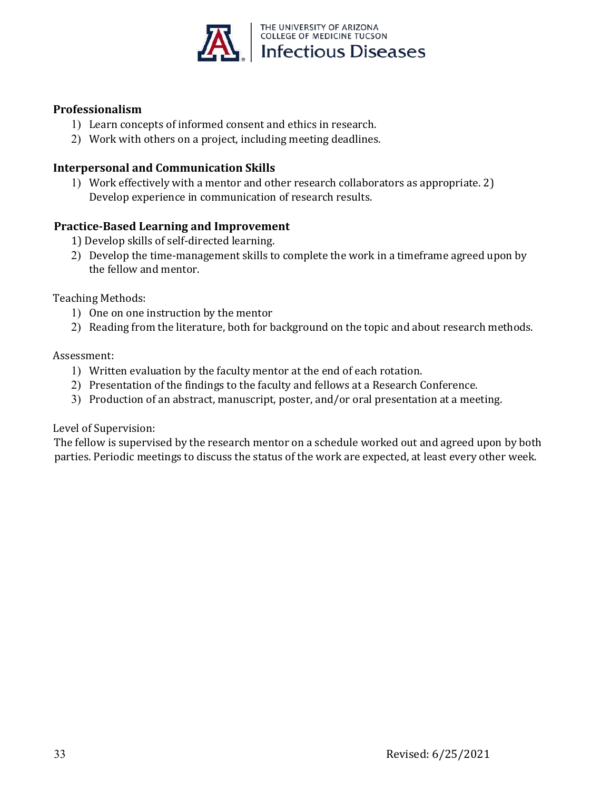

### **Professionalism**

- 1) Learn concepts of informed consent and ethics in research.
- 2) Work with others on a project, including meeting deadlines.

### **Interpersonal and Communication Skills**

1) Work effectively with a mentor and other research collaborators as appropriate. 2) Develop experience in communication of research results.

### **Practice-Based Learning and Improvement**

- 1) Develop skills of self-directed learning.
- 2) Develop the time-management skills to complete the work in a timeframe agreed upon by the fellow and mentor.

Teaching Methods:

- 1) One on one instruction by the mentor
- 2) Reading from the literature, both for background on the topic and about research methods.

### Assessment:

- 1) Written evaluation by the faculty mentor at the end of each rotation.
- 2) Presentation of the findings to the faculty and fellows at a Research Conference.
- 3) Production of an abstract, manuscript, poster, and/or oral presentation at a meeting.

### Level of Supervision:

The fellow is supervised by the research mentor on a schedule worked out and agreed upon by both parties. Periodic meetings to discuss the status of the work are expected, at least every other week.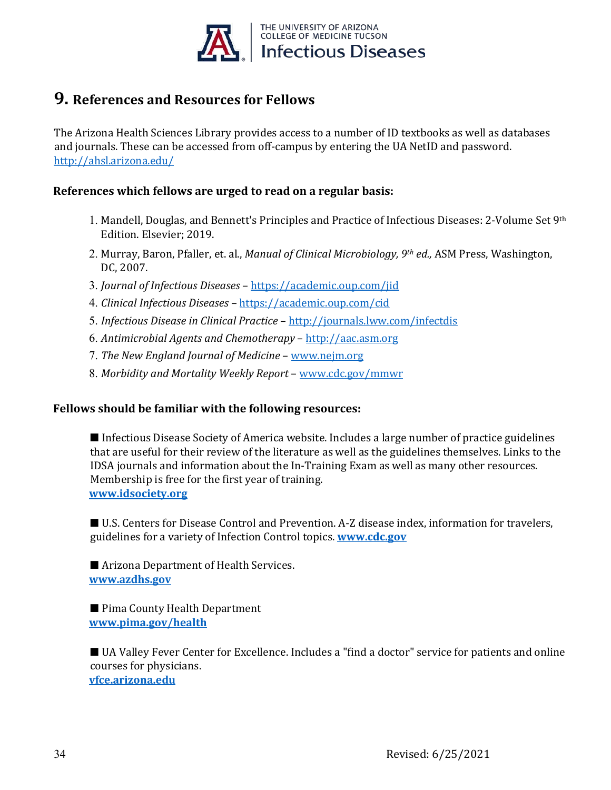

## **9. References and Resources for Fellows**

The Arizona Health Sciences Library provides access to a number of ID textbooks as well as databases and journals. These can be accessed from off-campus by entering the UA NetID and password. <http://ahsl.arizona.edu/>

### **References which fellows are urged to read on a regular basis:**

- 1. Mandell, Douglas, and Bennett's Principles and Practice of Infectious Diseases: 2-Volume Set 9th Edition. Elsevier; 2019.
- 2. Murray, Baron, Pfaller, et. al., *Manual of Clinical Microbiology, 9th ed.,* ASM Press, Washington, DC, 2007.
- 3. *Journal of Infectious Diseases* <https://academic.oup.com/jid>
- 4. *Clinical Infectious Diseases* <https://academic.oup.com/cid>
- 5. *Infectious Disease in Clinical Practice* <http://journals.lww.com/infectdis>
- 6. *Antimicrobial Agents and Chemotherapy* [http://aac.asm.org](http://aac.asm.org/)
- 7. *The New England Journal of Medicine* [www.nejm.org](http://www.nejm.org/)
- 8. *Morbidity and Mortality Weekly Report*  [www.cdc.gov/mmwr](http://www.cdc.gov/mmwr)

### **Fellows should be familiar with the following resources:**

■ Infectious Disease Society of America website. Includes a large number of practice guidelines that are useful for their review of the literature as well as the guidelines themselves. Links to the IDSA journals and information about the In-Training Exam as well as many other resources. Membership is free for the first year of training. **[www.idsociety.org](http://www.idsociety.org/)**

■ U.S. Centers for Disease Control and Prevention. A-Z disease index, information for travelers, guidelines for a variety of Infection Control topics. **[www.cdc.gov](http://www.cdc.gov/)**

■ Arizona Department of Health Services. **[www.azdhs.gov](http://www.azdhs.gov/)**

■ Pima County Health Department **[www.pima.gov/health](http://webcms.pima.gov/government/health_department)**

■ UA Valley Fever Center for Excellence. Includes a "find a doctor" service for patients and online courses for physicians. **[vfce.arizona.edu](http://www.vfce.arizona.edu/)**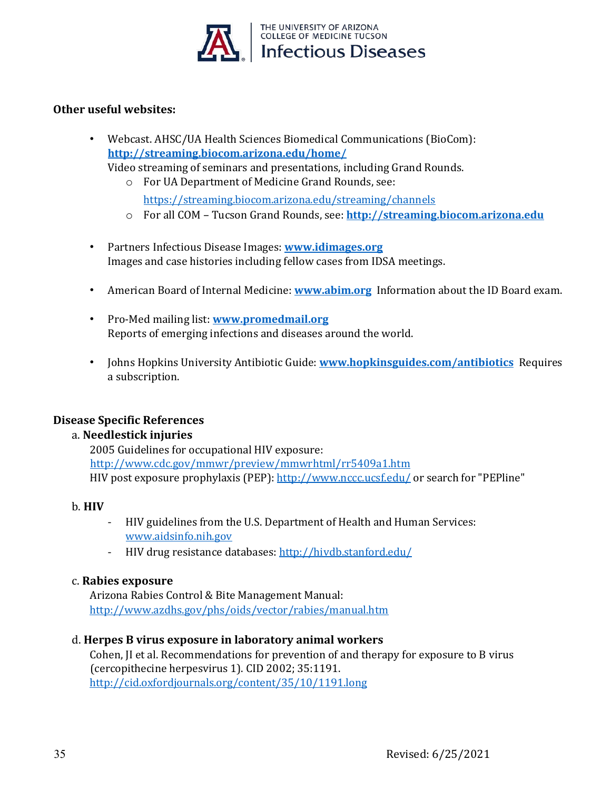

### **Other useful websites:**

- Webcast. AHSC/UA Health Sciences Biomedical Communications (BioCom): **<http://streaming.biocom.arizona.edu/home/>** Video streaming of seminars and presentations, including Grand Rounds.
	- o For UA Department of Medicine Grand Rounds, see:

<https://streaming.biocom.arizona.edu/streaming/channels>

- o For all COM Tucson Grand Rounds, see: **[http://streaming.biocom.arizona.edu](http://streaming.biocom.arizona.edu/)**
- Partners Infectious Disease Images: **[www.idimages.org](http://www.idimages.org/)** Images and case histories including fellow cases from IDSA meetings.
- American Board of Internal Medicine: **[www.abim.org](http://www.abim.org/)** Information about the ID Board exam.
- Pro-Med mailing list: **[www.promedmail.org](http://www.promedmail.org/)** Reports of emerging infections and diseases around the world.
- Johns Hopkins University Antibiotic Guide: **[www.hopkinsguides.com/antibiotics](https://www.hopkinsguides.com/hopkins/ub)** Requires a subscription.

### **Disease Specific References**

### a. **Needlestick injuries**

2005 Guidelines for occupational HIV exposure: <http://www.cdc.gov/mmwr/preview/mmwrhtml/rr5409a1.htm> HIV post exposure prophylaxis (PEP)[: http://www.nccc.ucsf.edu/](http://www.nccc.ucsf.edu/) or search for "PEPline"

### b. **HIV**

- HIV guidelines from the U.S. Department of Health and Human Services: [www.aidsinfo.nih.gov](http://www.aidsinfo.nih.gov/)
- HIV drug resistance databases:<http://hivdb.stanford.edu/>

### c. **Rabies exposure**

Arizona Rabies Control & Bite Management Manual: <http://www.azdhs.gov/phs/oids/vector/rabies/manual.htm>

### d. **Herpes B virus exposure in laboratory animal workers**

Cohen, JI et al. Recommendations for prevention of and therapy for exposure to B virus (cercopithecine herpesvirus 1). CID 2002; 35:1191. <http://cid.oxfordjournals.org/content/35/10/1191.long>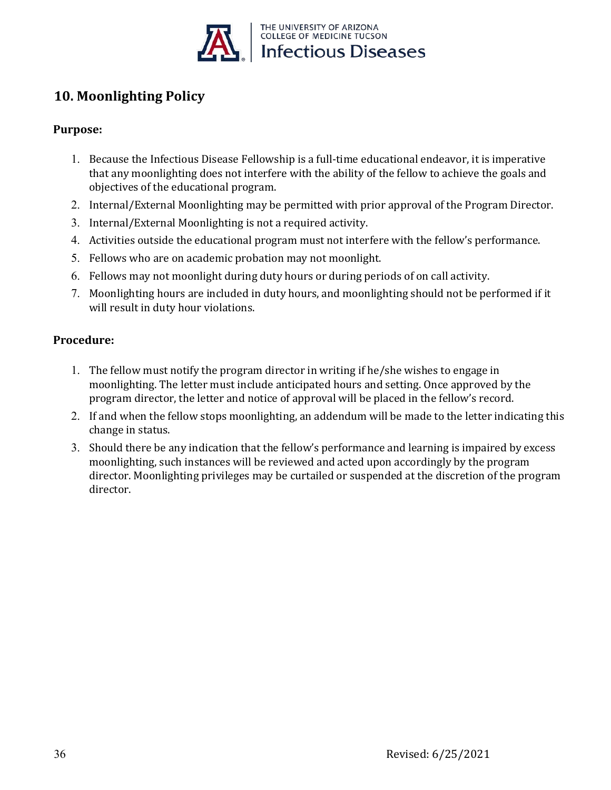

## **10. Moonlighting Policy**

### **Purpose:**

- 1. Because the Infectious Disease Fellowship is a full-time educational endeavor, it is imperative that any moonlighting does not interfere with the ability of the fellow to achieve the goals and objectives of the educational program.
- 2. Internal/External Moonlighting may be permitted with prior approval of the Program Director.
- 3. Internal/External Moonlighting is not a required activity.
- 4. Activities outside the educational program must not interfere with the fellow's performance.
- 5. Fellows who are on academic probation may not moonlight.
- 6. Fellows may not moonlight during duty hours or during periods of on call activity.
- 7. Moonlighting hours are included in duty hours, and moonlighting should not be performed if it will result in duty hour violations.

### **Procedure:**

- 1. The fellow must notify the program director in writing if he/she wishes to engage in moonlighting. The letter must include anticipated hours and setting. Once approved by the program director, the letter and notice of approval will be placed in the fellow's record.
- 2. If and when the fellow stops moonlighting, an addendum will be made to the letter indicating this change in status.
- 3. Should there be any indication that the fellow's performance and learning is impaired by excess moonlighting, such instances will be reviewed and acted upon accordingly by the program director. Moonlighting privileges may be curtailed or suspended at the discretion of the program director.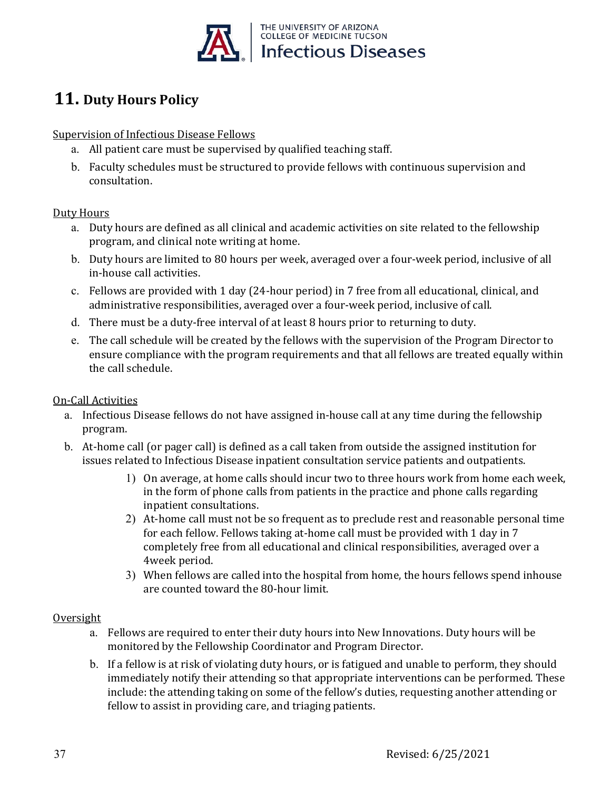

# **11. Duty Hours Policy**

Supervision of Infectious Disease Fellows

- a. All patient care must be supervised by qualified teaching staff.
- b. Faculty schedules must be structured to provide fellows with continuous supervision and consultation.

### Duty Hours

- a. Duty hours are defined as all clinical and academic activities on site related to the fellowship program, and clinical note writing at home.
- b. Duty hours are limited to 80 hours per week, averaged over a four-week period, inclusive of all in-house call activities.
- c. Fellows are provided with 1 day (24-hour period) in 7 free from all educational, clinical, and administrative responsibilities, averaged over a four-week period, inclusive of call.
- d. There must be a duty-free interval of at least 8 hours prior to returning to duty.
- e. The call schedule will be created by the fellows with the supervision of the Program Director to ensure compliance with the program requirements and that all fellows are treated equally within the call schedule.

### On-Call Activities

- a. Infectious Disease fellows do not have assigned in-house call at any time during the fellowship program.
- b. At-home call (or pager call) is defined as a call taken from outside the assigned institution for issues related to Infectious Disease inpatient consultation service patients and outpatients.
	- 1) On average, at home calls should incur two to three hours work from home each week, in the form of phone calls from patients in the practice and phone calls regarding inpatient consultations.
	- 2) At-home call must not be so frequent as to preclude rest and reasonable personal time for each fellow. Fellows taking at-home call must be provided with 1 day in 7 completely free from all educational and clinical responsibilities, averaged over a 4week period.
	- 3) When fellows are called into the hospital from home, the hours fellows spend inhouse are counted toward the 80-hour limit.

### **Oversight**

- a. Fellows are required to enter their duty hours into New Innovations. Duty hours will be monitored by the Fellowship Coordinator and Program Director.
- b. If a fellow is at risk of violating duty hours, or is fatigued and unable to perform, they should immediately notify their attending so that appropriate interventions can be performed. These include: the attending taking on some of the fellow's duties, requesting another attending or fellow to assist in providing care, and triaging patients.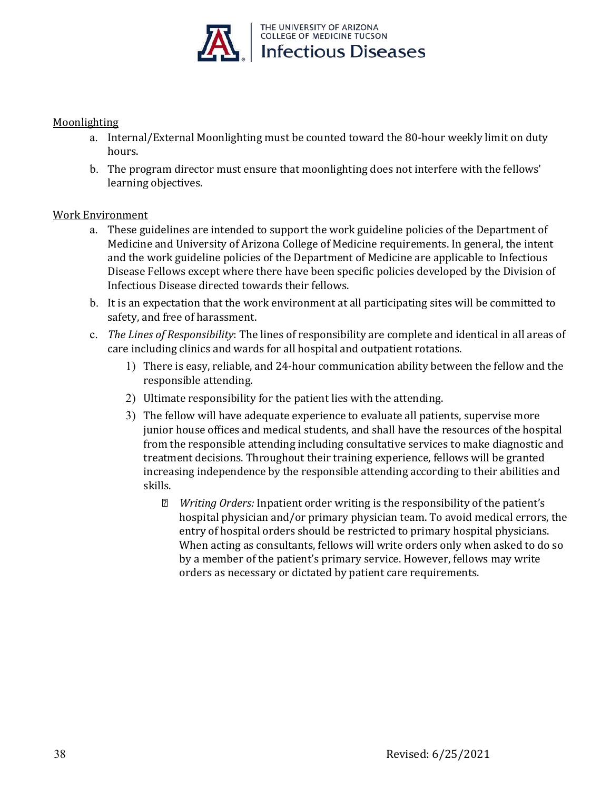

### Moonlighting

- a. Internal/External Moonlighting must be counted toward the 80-hour weekly limit on duty hours.
- b. The program director must ensure that moonlighting does not interfere with the fellows' learning objectives.

### Work Environment

- a. These guidelines are intended to support the work guideline policies of the Department of Medicine and University of Arizona College of Medicine requirements. In general, the intent and the work guideline policies of the Department of Medicine are applicable to Infectious Disease Fellows except where there have been specific policies developed by the Division of Infectious Disease directed towards their fellows.
- b. It is an expectation that the work environment at all participating sites will be committed to safety, and free of harassment.
- c. *The Lines of Responsibility*: The lines of responsibility are complete and identical in all areas of care including clinics and wards for all hospital and outpatient rotations.
	- 1) There is easy, reliable, and 24-hour communication ability between the fellow and the responsible attending.
	- 2) Ultimate responsibility for the patient lies with the attending.
	- 3) The fellow will have adequate experience to evaluate all patients, supervise more junior house offices and medical students, and shall have the resources of the hospital from the responsible attending including consultative services to make diagnostic and treatment decisions. Throughout their training experience, fellows will be granted increasing independence by the responsible attending according to their abilities and skills.
		- *Writing Orders:* Inpatient order writing is the responsibility of the patient's hospital physician and/or primary physician team. To avoid medical errors, the entry of hospital orders should be restricted to primary hospital physicians. When acting as consultants, fellows will write orders only when asked to do so by a member of the patient's primary service. However, fellows may write orders as necessary or dictated by patient care requirements.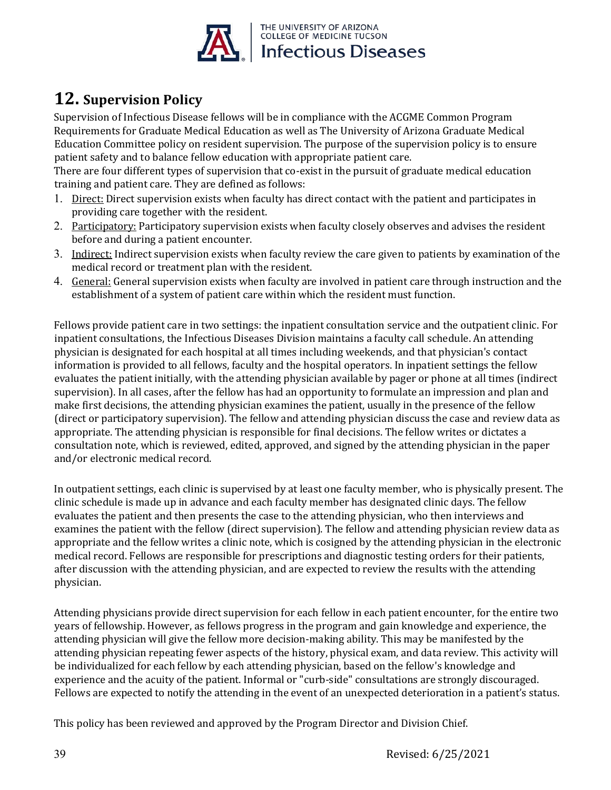

# **12. Supervision Policy**

Supervision of Infectious Disease fellows will be in compliance with the ACGME Common Program Requirements for Graduate Medical Education as well as The University of Arizona Graduate Medical Education Committee policy on resident supervision. The purpose of the supervision policy is to ensure patient safety and to balance fellow education with appropriate patient care.

There are four different types of supervision that co-exist in the pursuit of graduate medical education training and patient care. They are defined as follows:

- 1. Direct: Direct supervision exists when faculty has direct contact with the patient and participates in providing care together with the resident.
- 2. Participatory: Participatory supervision exists when faculty closely observes and advises the resident before and during a patient encounter.
- 3. Indirect: Indirect supervision exists when faculty review the care given to patients by examination of the medical record or treatment plan with the resident.
- 4. General: General supervision exists when faculty are involved in patient care through instruction and the establishment of a system of patient care within which the resident must function.

Fellows provide patient care in two settings: the inpatient consultation service and the outpatient clinic. For inpatient consultations, the Infectious Diseases Division maintains a faculty call schedule. An attending physician is designated for each hospital at all times including weekends, and that physician's contact information is provided to all fellows, faculty and the hospital operators. In inpatient settings the fellow evaluates the patient initially, with the attending physician available by pager or phone at all times (indirect supervision). In all cases, after the fellow has had an opportunity to formulate an impression and plan and make first decisions, the attending physician examines the patient, usually in the presence of the fellow (direct or participatory supervision). The fellow and attending physician discuss the case and review data as appropriate. The attending physician is responsible for final decisions. The fellow writes or dictates a consultation note, which is reviewed, edited, approved, and signed by the attending physician in the paper and/or electronic medical record.

In outpatient settings, each clinic is supervised by at least one faculty member, who is physically present. The clinic schedule is made up in advance and each faculty member has designated clinic days. The fellow evaluates the patient and then presents the case to the attending physician, who then interviews and examines the patient with the fellow (direct supervision). The fellow and attending physician review data as appropriate and the fellow writes a clinic note, which is cosigned by the attending physician in the electronic medical record. Fellows are responsible for prescriptions and diagnostic testing orders for their patients, after discussion with the attending physician, and are expected to review the results with the attending physician.

Attending physicians provide direct supervision for each fellow in each patient encounter, for the entire two years of fellowship. However, as fellows progress in the program and gain knowledge and experience, the attending physician will give the fellow more decision-making ability. This may be manifested by the attending physician repeating fewer aspects of the history, physical exam, and data review. This activity will be individualized for each fellow by each attending physician, based on the fellow's knowledge and experience and the acuity of the patient. Informal or "curb-side" consultations are strongly discouraged. Fellows are expected to notify the attending in the event of an unexpected deterioration in a patient's status.

This policy has been reviewed and approved by the Program Director and Division Chief.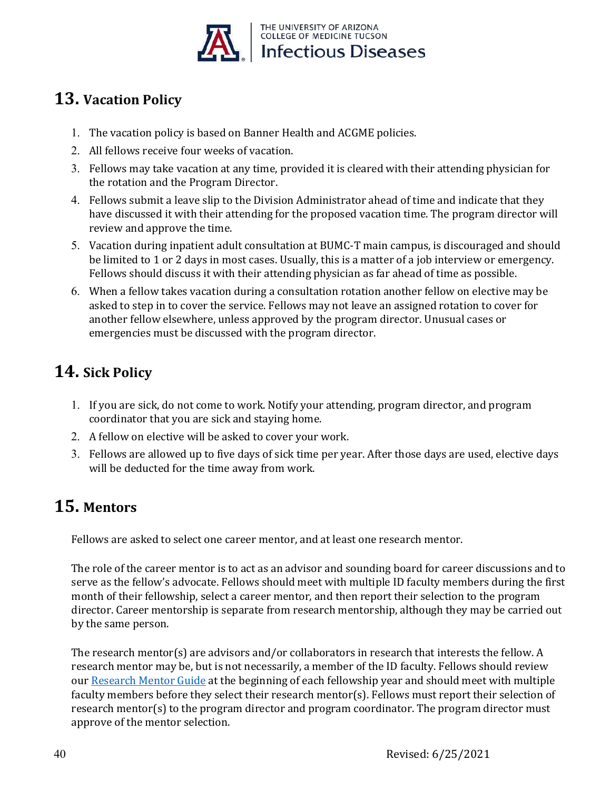

# **13. Vacation Policy**

- 1. The vacation policy is based on Banner Health and ACGME policies.
- 2. All fellows receive four weeks of vacation.
- 3. Fellows may take vacation at any time, provided it is cleared with their attending physician for the rotation and the Program Director.
- 4. Fellows submit a leave slip to the Division Administrator ahead of time and indicate that they have discussed it with their attending for the proposed vacation time. The program director will review and approve the time.
- 5. Vacation during inpatient adult consultation at BUMC-T main campus, is discouraged and should be limited to 1 or 2 days in most cases. Usually, this is a matter of a job interview or emergency. Fellows should discuss it with their attending physician as far ahead of time as possible.
- 6. When a fellow takes vacation during a consultation rotation another fellow on elective may be asked to step in to cover the service. Fellows may not leave an assigned rotation to cover for another fellow elsewhere, unless approved by the program director. Unusual cases or emergencies must be discussed with the program director.

# **14. Sick Policy**

- 1. If you are sick, do not come to work. Notify your attending, program director, and program coordinator that you are sick and staying home.
- 2. A fellow on elective will be asked to cover your work.
- 3. Fellows are allowed up to five days of sick time per year. After those days are used, elective days will be deducted for the time away from work.

# **15. Mentors**

Fellows are asked to select one career mentor, and at least one research mentor.

The role of the career mentor is to act as an advisor and sounding board for career discussions and to serve as the fellow's advocate. Fellows should meet with multiple ID faculty members during the first month of their fellowship, select a career mentor, and then report their selection to the program director. Career mentorship is separate from research mentorship, although they may be carried out by the same person.

The research mentor(s) are advisors and/or collaborators in research that interests the fellow. A research mentor may be, but is not necessarily, a member of the ID faculty. Fellows should review our Research Mentor Guide at the beginning of each fellowship year and should meet with multiple faculty members before they select their research mentor(s). Fellows must report their selection of research mentor(s) to the program director and program coordinator. The program director must approve of the mentor selection.